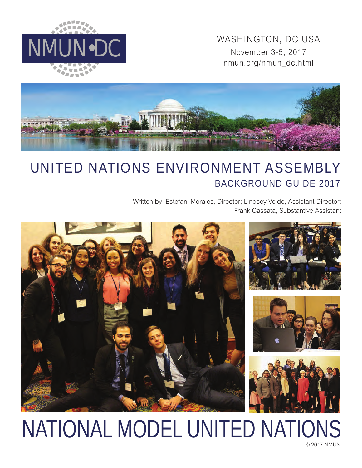

WASHINGTON, DC USA<br>November 3-5, 2017 November 3-5, 2017 nmun.org/nmun\_dc.html



# UNITED NATIONS ENVIRONMENT ASSEMBLY BACKGROUND GUIDE 2017

Written by: Estefani Morales, Director; Lindsey Velde, Assistant Director; Frank Cassata, Substantive Assistant



# NATIONAL MODEL UNITED NATIONS

© 2017 NMUN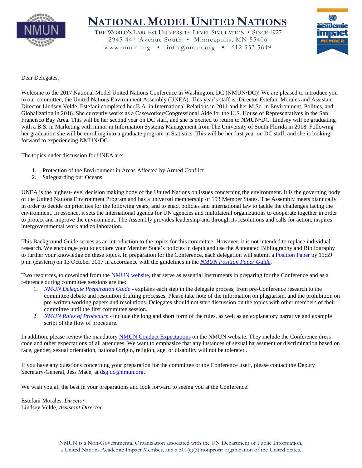

# **NATIONAL MODEL UNITED NATIONS**

THE WORLD'S LARGEST UNIVERSITY-LEVEL SIMULATION • SINCE 1927 2945 44th Avenue South • Minneapolis, MN 55406 www.nmun.org • info@nmun.org • 612.353.5649



Dear Delegates,

Welcome to the 2017 National Model United Nations Conference in Washington, DC (NMUN•DC)! We are pleased to introduce you to our committee, the United Nations Environment Assembly (UNEA). This year's staff is: Director Estefani Morales and Assistant Director Lindsey Velde. Estefani completed her B.A. in International Relations in 2011 and her M.Sc. in Environment, Politics, and Globalization in 2016. She currently works as a Caseworker/Congressional Aide for the U.S. House of Representatives in the San Francisco Bay Area. This will be her second year on DC staff, and she is excited to return to NMUN•DC. Lindsey will be graduating with a B.S. in Marketing with minor in Information Systems Management from The University of South Florida in 2018. Following her graduation she will be enrolling into a graduate program in Statistics. This will be her first year on DC staff, and she is looking forward to experiencing NMUN•DC.

The topics under discussion for UNEA are:

- 1. Protection of the Environment in Areas Affected by Armed Conflict
- 2. Safeguarding our Oceans

UNEA is the highest-level decision making body of the United Nations on issues concerning the environment. It is the governing body of the United Nations Environment Program and has a universal membership of 193 Member States. The Assembly meets biannually in order to decide on priorities for the following years, and to enact policies and international law to tackle the challenges facing the environment. In essence, it sets the international agenda for UN agencies and multilateral organizations to cooperate together in order to protect and improve the environment. The Assembly provides leadership and through its resolutions and calls for action, inspires intergovernmental work and collaboration.

This Background Guide serves as an introduction to the topics for this committee. However, it is not intended to replace individual research. We encourage you to explore your Member State's policies in depth and use the Annotated Bibliography and Bibliography to further your knowledge on these topics. In preparation for the Conference, each delegation will submit a [Position Paper](http://nmun.org/dc_position_papers.html) by 11:59 p.m. (Eastern) on 13 October 2017 in accordance with the guidelines in the *[NMUN Position Paper Guide](http://nmun.org/downloads/NMUNPPGuide.pdf)*.

Two resources, to download from the [NMUN website,](http://nmun.org/dc_preparations.html) that serve as essential instruments in preparing for the Conference and as a reference during committee sessions are the:

- 1. *[NMUN Delegate Preparation Guide](http://nmun.org/downloads/NMUNDelegatePrepGuide.pdf)* explains each step in the delegate process, from pre-Conference research to the committee debate and resolution drafting processes. Please take note of the information on plagiarism, and the prohibition on pre-written working papers and resolutions. Delegates should not start discussion on the topics with other members of their committee until the first committee session.
- 2. *[NMUN Rules of Procedure](http://nmun.org/downloads/NMUNRules.pdf)* include the long and short form of the rules, as well as an explanatory narrative and example script of the flow of procedure.

In addition, please review the mandatory [NMUN Conduct](http://nmun.org/policies_codes.html) Expectations on the NMUN website. They include the Conference dress code and other expectations of all attendees. We want to emphasize that any instances of sexual harassment or discrimination based on race, gender, sexual orientation, national origin, religion, age, or disability will not be tolerated.

If you have any questions concerning your preparation for the committee or the Conference itself, please contact the Deputy Secretary-General, Jess Mace, at [dsg.dc@nmun.org.](mailto:dsg.dc@nmun.org)

We wish you all the best in your preparations and look forward to seeing you at the Conference!

Estefani Morales, *Director* Lindsey Velde, *Assistant Director*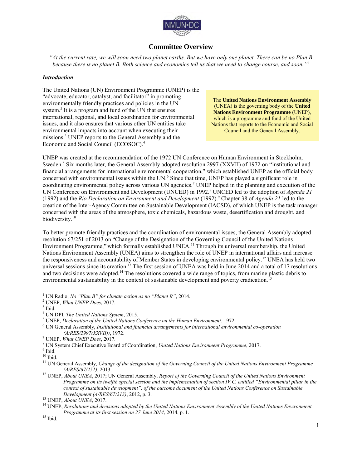

# **Committee Overview**

*"At the current rate, we will soon need two planet earths. But we have only one planet. There can be no Plan B because there is no planet B. Both science and economics tell us that we need to change course, and soon."*<sup>1</sup> 

#### *Introduction*

The United Nations (UN) Environment Programme (UNEP) is the "advocate, educator, catalyst, and facilitator" in promoting environmentally friendly practices and policies in the UN system.<sup>2</sup> It is a program and fund of the UN that ensures international, regional, and local coordination for environmental issues, and it also ensures that various other UN entities take environmental impacts into account when executing their missions.<sup>3</sup> UNEP reports to the General Assembly and the Economic and Social Council (ECOSOC).<sup>4</sup>

The **United Nations Environment Assembly** (UNEA) is the governing body of the **United Nations Environment Programme** (UNEP), which is a programme and fund of the United Nations that reports to the Economic and Social Council and the General Assembly.

UNEP was created at the recommendation of the 1972 UN Conference on Human Environment in Stockholm, Sweden.<sup>5</sup> Six months later, the General Assembly adopted resolution 2997 (XXVII) of 1972 on "institutional and financial arrangements for international environmental cooperation," which established UNEP as the official body concerned with environmental issues within the UN.<sup>6</sup> Since that time, UNEP has played a significant role in coordinating environmental policy across various UN agencies.<sup>7</sup> UNEP helped in the planning and execution of the UN Conference on Environment and Development (UNCED) in 1992.<sup>8</sup> UNCED led to the adoption of *Agenda 21* (1992) and the *Rio Declaration on Environment and Development* (1992).<sup>9</sup> Chapter 38 of *Agenda 21* led to the creation of the Inter-Agency Committee on Sustainable Development (IACSD), of which UNEP is the task manager concerned with the areas of the atmosphere, toxic chemicals, hazardous waste, desertification and drought, and biodiversity.<sup>10</sup>

To better promote friendly practices and the coordination of environmental issues, the General Assembly adopted resolution 67/251 of 2013 on "Change of the Designation of the Governing Council of the United Nations Environment Programme," which formally established UNEA.<sup>11</sup> Through its universal membership, the United Nations Environment Assembly (UNEA) aims to strengthen the role of UNEP in international affairs and increase the responsiveness and accountability of Member States in developing environmental policy.<sup>12</sup> UNEA has held two universal sessions since its creation.<sup>13</sup> The first session of UNEA was held in June 2014 and a total of 17 resolutions and two decisions were adopted.<sup>14</sup> The resolutions covered a wide range of topics, from marine plastic debris to environmental sustainability in the context of sustainable development and poverty eradication.<sup>15</sup>

<sup>1</sup> UN Radio, *No "Plan B" for climate action as no "Planet B"*, 2014.

<sup>2</sup> UNEP, *What UNEP Does*, 2017.

 $3$  Ibid.

<sup>4</sup> UN DPI, *The United Nations System*, 2015.

<sup>5</sup> UNEP, *Declaration of the United Nations Conference on the Human Environment*, 1972.

<sup>6</sup> UN General Assembly, *Institutional and financial arrangements for international environmental co-operation (A/RES/2997(XXVII))*, 1972.

<sup>7</sup> UNEP, *What UNEP Does*, 2017.

<sup>8</sup> UN System Chief Executive Board of Coordination, *United Nations Environment Programme*, 2017.

<sup>&</sup>lt;sup>9</sup> Ibid.

 $^{\rm 10}$  Ibid.

<sup>11</sup> UN General Assembly, *Change of the designation of the Governing Council of the United Nations Environment Programme (A/RES/67/251)*, 2013.

<sup>12</sup> UNEP, *About UNEA*, 2017; UN General Assembly, *Report of the Governing Council of the United Nations Environment Programme on its twelfth special session and the implementation of section IV.C, entitled "Environmental pillar in the context of sustainable development", of the outcome document of the United Nations Conference on Sustainable Development (A/RES/67/213)*, 2012, p. 3.

<sup>13</sup> UNEP, *About UNEA*, 2017.

<sup>14</sup> UNEP, *Resolutions and decisions adopted by the United Nations Environment Assembly of the United Nations Environment Programme at its first session on 27 June 2014*, 2014, p. 1.

 $^{15}$  Ibid.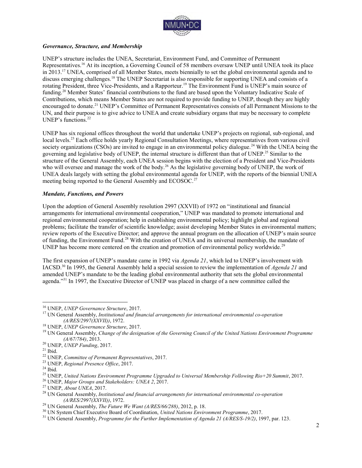

#### *Governance, Structure, and Membership*

UNEP's structure includes the UNEA, Secretariat, Environment Fund, and Committee of Permanent Representatives.<sup>16</sup> At its inception, a Governing Council of 58 members oversaw UNEP until UNEA took its place in 2013.<sup>17</sup> UNEA, comprised of all Member States, meets biennially to set the global environmental agenda and to discuss emerging challenges.<sup>18</sup> The UNEP Secretariat is also responsible for supporting UNEA and consists of a rotating President, three Vice-Presidents, and a Rapporteur.<sup>19</sup> The Environment Fund is UNEP's main source of funding.<sup>20</sup> Member States' financial contributions to the fund are based upon the Voluntary Indicative Scale of Contributions, which means Member States are not required to provide funding to UNEP, though they are highly encouraged to donate.<sup>21</sup> UNEP's Committee of Permanent Representatives consists of all Permanent Missions to the UN, and their purpose is to give advice to UNEA and create subsidiary organs that may be necessary to complete UNEP's functions.<sup>22</sup>

UNEP has six regional offices throughout the world that undertake UNEP's projects on regional, sub-regional, and local levels.<sup>23</sup> Each office holds yearly Regional Consultation Meetings, where representatives from various civil society organizations (CSOs) are invited to engage in an environmental policy dialogue.<sup>24</sup> With the UNEA being the governing and legislative body of UNEP, the internal structure is different than that of UNEP.<sup>25</sup> Similar to the structure of the General Assembly, each UNEA session begins with the election of a President and Vice-Presidents who will oversee and manage the work of the body.<sup>26</sup> As the legislative governing body of UNEP, the work of UNEA deals largely with setting the global environmental agenda for UNEP, with the reports of the biennial UNEA meeting being reported to the General Assembly and ECOSOC.<sup>27</sup>

#### *Mandate, Functions, and Powers*

Upon the adoption of General Assembly resolution 2997 (XXVII) of 1972 on "institutional and financial arrangements for international environmental cooperation," UNEP was mandated to promote international and regional environmental cooperation; help in establishing environmental policy; highlight global and regional problems; facilitate the transfer of scientific knowledge; assist developing Member States in environmental matters; review reports of the Executive Director; and approve the annual program on the allocation of UNEP's main source of funding, the Environment Fund.<sup>28</sup> With the creation of UNEA and its universal membership, the mandate of UNEP has become more centered on the creation and promotion of environmental policy worldwide.<sup>29</sup>

The first expansion of UNEP's mandate came in 1992 via *Agenda 21*, which led to UNEP's involvement with IACSD.<sup>30</sup> In 1995, the General Assembly held a special session to review the implementation of *Agenda 21* and amended UNEP's mandate to be the leading global environmental authority that sets the global environmental agenda."<sup>31</sup> In 1997, the Executive Director of UNEP was placed in charge of a new committee called the

 $\overline{a}$ <sup>16</sup> UNEP, *UNEP Governance Structure*, 2017.

<sup>17</sup> UN General Assembly, *Institutional and financial arrangements for international environmental co-operation (A/RES/2997(XXVII))*, 1972.

<sup>18</sup> UNEP, *UNEP Governance Structure*, 2017.

<sup>19</sup> UN General Assembly, *Change of the designation of the Governing Council of the United Nations Environment Programme (A/67/784)*, 2013.

<sup>20</sup> UNEP, *UNEP Funding*, 2017.

 $^{21}$  Ibid.

<sup>22</sup> UNEP, *Committee of Permanent Representatives*, 2017.

<sup>23</sup> UNEP, *Regional Presence Office*, 2017.

 $24$  Ibid.

<sup>25</sup> UNEP, *United Nations Environment Programme Upgraded to Universal Membership Following Rio+20 Summit*, 2017.

<sup>26</sup> UNEP, *Major Groups and Stakeholders: UNEA 2*, 2017.

<sup>27</sup> UNEP, *About UNEA*, 2017.

<sup>28</sup> UN General Assembly, *Institutional and financial arrangements for international environmental co-operation (A/RES/2997(XXVII))*, 1972.

<sup>29</sup> UN General Assembly, *The Future We Want (A/RES/66/288)*, 2012, p. 18.

<sup>30</sup> UN System Chief Executive Board of Coordination, *United Nations Environment Programme*, 2017.

<sup>31</sup> UN General Assembly, *Programme for the Further Implementation of Agenda 21 (A/RES/S-19/2)*, 1997, par. 123.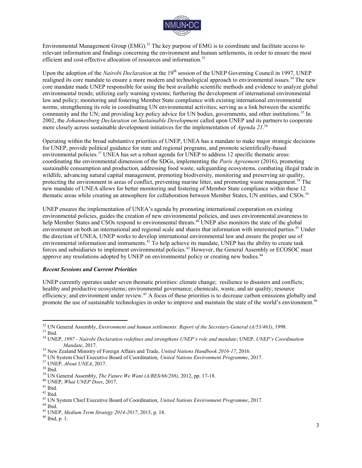

Environmental Management Group (EMG).<sup>32</sup> The key purpose of EMG is to coordinate and facilitate access to relevant information and findings concerning the environment and human settlements, in order to ensure the most efficient and cost-effective allocation of resources and information.<sup>33</sup>

Upon the adoption of the *Nairobi Declaration* at the 19<sup>th</sup> session of the UNEP Governing Council in 1997, UNEP realigned its core mandate to ensure a more modern and technological approach to environmental issues.<sup>34</sup> The new core mandate made UNEP responsible for using the best available scientific methods and evidence to analyze global environmental trends; utilizing early warning systems; furthering the development of international environmental law and policy; monitoring and fostering Member State compliance with existing international environmental norms; strengthening its role in coordinating UN environmental activities; serving as a link between the scientific community and the UN; and providing key policy advice for UN bodies, governments, and other institutions.<sup>35</sup> In 2002, the *Johannesburg Declaration on Sustainable Development* called upon UNEP and its partners to cooperate more closely across sustainable development initiatives for the implementation of *Agenda 21*. 36

Operating within the broad substantive priorities of UNEP, UNEA has a mandate to make major strategic decisions for UNEP, provide political guidance for state and regional programs, and promote scientifically-based environmental policies.<sup>37</sup> UNEA has set a robust agenda for UNEP to address 12 specific thematic areas: coordinating the environmental dimension of the SDGs, implementing the *Paris Agreement* (2016), promoting sustainable consumption and production, addressing food waste, safeguarding ecosystems, combating illegal trade in wildlife, advancing natural capital management, promoting biodiversity, monitoring and preserving air quality, protecting the environment in areas of conflict, preventing marine litter, and promoting waste management.<sup>38</sup> The new mandate of UNEA allows for better monitoring and fostering of Member State compliance within these 12 thematic areas while creating an atmosphere for collaboration between Member States, UN entities, and CSOs.<sup>39</sup>

UNEP ensures the implementation of UNEA's agenda by promoting international cooperation on existing environmental policies, guides the creation of new environmental policies, and uses environmental awareness to help Member States and CSOs respond to environmental threats.<sup>40</sup> UNEP also monitors the state of the global environment on both an international and regional scale and shares that information with interested parties.<sup>41</sup> Under the direction of UNEA, UNEP works to develop international environmental law and ensure the proper use of environmental information and instruments.<sup>42</sup> To help achieve its mandate, UNEP has the ability to create task forces and subsidiaries to implement environmental policies.<sup>43</sup> However, the General Assembly or ECOSOC must approve any resolutions adopted by UNEP on environmental policy or creating new bodies.<sup>44</sup>

#### *Recent Sessions and Current Priorities*

UNEP currently operates under seven thematic priorities: climate change; resilience to disasters and conflicts; healthy and productive ecosystems; environmental governance; chemicals, waste, and air quality; resource efficiency; and environment under review.<sup>45</sup> A focus of these priorities is to decrease carbon emissions globally and promote the use of sustainable technologies in order to improve and maintain the state of the world's environment.<sup>46</sup>

<sup>32</sup> UN General Assembly, *Environment and human settlements: Report of the Secretary-General (A/53/463)*, 1998. <sup>33</sup> Ibid.

<sup>34</sup> UNEP, *1997 - Nairobi Declaration redefines and strengthens UNEP's role and mandate*; UNEP, *UNEP's Coordination Mandate*, 2017.

<sup>35</sup> New Zealand Ministry of Foreign Affairs and Trade, *United Nations Handbook 2016-17*, 2016.

<sup>36</sup> UN System Chief Executive Board of Coordination, *United Nations Environment Programme*, 2017.

<sup>37</sup> UNEP, *About UNEA*, 2017.

<sup>38</sup> Ibid.

<sup>39</sup> UN General Assembly, *The Future We Want (A/RES/66/288)*, 2012, pp. 17-18.

<sup>40</sup> UNEP, *What UNEP Does*, 2017.

 $^{\rm 41}$  Ibid.

<sup>42</sup> Ibid.

<sup>43</sup> UN System Chief Executive Board of Coordination, *United Nations Environment Programme*, 2017.

<sup>&</sup>lt;sup>44</sup> Ibid.

<sup>45</sup> UNEP, *Medium Term Strategy 2014-2017*, 2015, p. 18.

<sup>46</sup> Ibid, p. 1.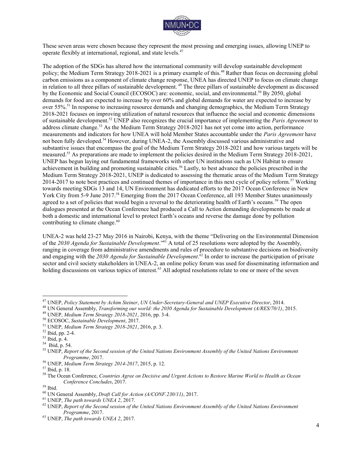

These seven areas were chosen because they represent the most pressing and emerging issues, allowing UNEP to operate flexibly at international, regional, and state levels.<sup>47</sup>

The adoption of the SDGs has altered how the international community will develop sustainable development policy; the Medium Term Strategy 2018-2021 is a primary example of this.<sup>48</sup> Rather than focus on decreasing global carbon emissions as a component of climate change response, UNEA has directed UNEP to focus on climate change in relation to all three pillars of sustainable development.<sup>49</sup> The three pillars of sustainable development as discussed by the Economic and Social Council (ECOSOC) are: economic, social, and environmental.<sup>50</sup> By 2050, global demands for food are expected to increase by over 60% and global demands for water are expected to increase by over 55%.<sup>51</sup> In response to increasing resource demands and changing demographics, the Medium Term Strategy 2018-2021 focuses on improving utilization of natural resources that influence the social and economic dimensions of sustainable development.<sup>52</sup> UNEP also recognizes the crucial importance of implementing the *Paris Agreement* to address climate change.<sup>53</sup> As the Medium Term Strategy 2018-2021 has not yet come into action, performance measurements and indicators for how UNEA will hold Member States accountable under the *Paris Agreement* have not been fully developed.<sup>54</sup> However, during UNEA-2, the Assembly discussed various administrative and substantive issues that encompass the goal of the Medium Term Strategy 2018-2021 and how various targets will be measured.<sup>55</sup> As preparations are made to implement the policies desired in the Medium Term Strategy 2018-2021, UNEP has begun laying out fundamental frameworks with other UN institutions such as UN Habitat to ensure achievement in building and promoting sustainable cities.<sup>56</sup> Lastly, to best advance the policies prescribed in the Medium Term Strategy 2018-2021, UNEP is dedicated to assessing the thematic areas of the Medium Term Strategy 2014-2017 to note best practices and continued themes of importance in this next cycle of policy reform.<sup>57</sup> Working towards meeting SDGs 13 and 14, UN Environment has dedicated efforts to the 2017 Ocean Conference in New York City from 5-9 June 2017.<sup>58</sup> Emerging from the 2017 Ocean Conference, all 193 Member States unanimously agreed to a set of policies that would begin a reversal to the deteriorating health of Earth's oceans.<sup>59</sup> The open dialogues presented at the Ocean Conference had produced a Call to Action demanding developments be made at both a domestic and international level to protect Earth's oceans and reverse the damage done by pollution contributing to climate change.<sup>60</sup>

UNEA-2 was held 23-27 May 2016 in Nairobi, Kenya, with the theme "Delivering on the Environmental Dimension of the *2030 Agenda for Sustainable Development*."<sup>61</sup> A total of 25 resolutions were adopted by the Assembly, ranging in coverage from administrative amendments and rules of procedure to substantive decisions on biodiversity and engaging with the *2030 Agenda for Sustainable Development*. <sup>62</sup> In order to increase the participation of private sector and civil society stakeholders in UNEA-2, an online policy forum was used for disseminating information and holding discussions on various topics of interest.<sup>63</sup> All adopted resolutions relate to one or more of the seven

<sup>47</sup> UNEP, *Policy Statement by Achim Steiner*, *UN Under-Secretary-General and UNEP Executive Director*, 2014.

<sup>48</sup> UN General Assembly, *Transforming our world: the 2030 Agenda for Sustainable Development (A/RES/70/1)*, 2015.

<sup>49</sup> UNEP, *Medium Term Strategy 2018-2021*, 2016, pp. 3-4.

<sup>50</sup> ECOSOC, *Sustainable Development*, 2017.

<sup>51</sup> UNEP, *Medium Term Strategy 2018-2021*, 2016, p. 3.

<sup>52</sup> Ibid, pp. 2-4.

<sup>53</sup> Ibid, p. 4.

<sup>54</sup> Ibid, p. 54.

<sup>55</sup> UNEP, *Report of the Second session of the United Nations Environment Assembly of the United Nations Environment Programme*, 2017.

<sup>56</sup> UNEP, *Medium Term Strategy 2014-2017*, 2015, p. 12.

<sup>57</sup> Ibid, p. 18.

<sup>58</sup> The Ocean Conference, *Countries Agree on Decisive and Urgent Actions to Restore Marine World to Health as Ocean Conference Concludes*, 2017.

 $^{\rm 59}$  Ibid.

<sup>60</sup> UN General Assembly, *Draft Call for Action (A/CONF.230/11)*, 2017.

<sup>61</sup> UNEP, *The path towards UNEA 2*, 2017.

<sup>62</sup> UNEP, *Report of the Second session of the United Nations Environment Assembly of the United Nations Environment Programme*, 2017.

<sup>63</sup> UNEP, *The path towards UNEA 2*, 2017.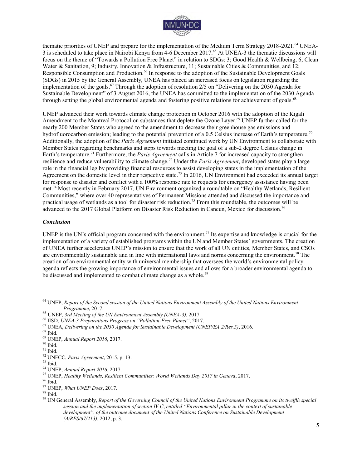

thematic priorities of UNEP and prepare for the implementation of the Medium Term Strategy 2018-2021.<sup>64</sup> UNEA-3 is scheduled to take place in Nairobi Kenya from 4-6 December 2017.<sup>65</sup> At UNEA-3 the thematic discussions will focus on the theme of "Towards a Pollution Free Planet" in relation to SDGs: 3; Good Health & Wellbeing, 6; Clean Water & Sanitation, 9; Industry, Innovation & Infrastructure, 11; Sustainable Cities & Communities, and 12; Responsible Consumption and Production.<sup>66</sup> In response to the adoption of the Sustainable Development Goals (SDGs) in 2015 by the General Assembly, UNEA has placed an increased focus on legislation regarding the implementation of the goals.<sup>67</sup> Through the adoption of resolution 2/5 on "Delivering on the 2030 Agenda for Sustainable Development" of 3 August 2016, the UNEA has committed to the implementation of the 2030 Agenda through setting the global environmental agenda and fostering positive relations for achievement of goals.<sup>68</sup>

UNEP advanced their work towards climate change protection in October 2016 with the adoption of the Kigali Amendment to the Montreal Protocol on substances that deplete the Ozone Layer.<sup>69</sup> UNEP further called for the nearly 200 Member States who agreed to the amendment to decrease their greenhouse gas emissions and hydrofluorocarbon emission; leading to the potential prevention of a 0.5 Celsius increase of Earth's temperature.<sup>70</sup> Additionally, the adoption of the *Paris Agreement* initiated continued work by UN Environment to collaborate with Member States regarding benchmarks and steps towards meeting the goal of a sub-2 degree Celsius change in Earth's temperature.<sup>71</sup> Furthermore, the *Paris Agreement* calls in Article 7 for increased capacity to strengthen resilience and reduce vulnerability to climate change.<sup>72</sup> Under the *Paris Agreement*, developed states play a large role in the financial leg by providing financial resources to assist developing states in the implementation of the Agreement on the domestic level in their respective state.<sup>73</sup> In 2016, UN Environment had exceeded its annual target for response to disaster and conflict with a 100% response rate to requests for emergency assistance having been met.<sup>74</sup> Most recently in February 2017, UN Environment organized a roundtable on "Healthy Wetlands, Resilient Communities," where over 40 representatives of Permanent Missions attended and discussed the importance and practical usage of wetlands as a tool for disaster risk reduction.<sup>75</sup> From this roundtable, the outcomes will be advanced to the 2017 Global Platform on Disaster Risk Reduction in Cancun, Mexico for discussion.<sup>76</sup>

#### *Conclusion*

UNEP is the UN's official program concerned with the environment.<sup>77</sup> Its expertise and knowledge is crucial for the implementation of a variety of established programs within the UN and Member States' governments. The creation of UNEA further accelerates UNEP's mission to ensure that the work of all UN entities, Member States, and CSOs are environmentally sustainable and in line with international laws and norms concerning the environment.<sup>78</sup> The creation of an environmental entity with universal membership that oversees the world's environmental policy agenda reflects the growing importance of environmental issues and allows for a broader environmental agenda to be discussed and implemented to combat climate change as a whole.<sup>79</sup>

<sup>64</sup> UNEP, *Report of the Second session of the United Nations Environment Assembly of the United Nations Environment Programme*, 2017.

<sup>65</sup> UNEP, *3rd Meeting of the UN Environment Assembly (UNEA-3)*, 2017.

<sup>66</sup> IISD, *UNEA-3 Preparations Progress on "Pollution-Free Planet"*, 2017.

<sup>67</sup> UNEA, *Delivering on the 2030 Agenda for Sustainable Development (UNEP/EA.2/Res.5)*, 2016.

 $^{68}$  Ibid.

<sup>69</sup> UNEP, *Annual Report 2016*, 2017.

<sup>70</sup> Ibid.

 $71$  Ibid.

<sup>72</sup> UNFCC, *Paris Agreement*, 2015, p. 13.

<sup>73</sup> Ibid.

<sup>74</sup> UNEP, *Annual Report 2016*, 2017.

<sup>75</sup> UNEP, *Healthy Wetlands, Resilient Communities: World Wetlands Day 2017 in Geneva*, 2017.

 $^{76}$  Ibid.

<sup>77</sup> UNEP, *What UNEP Does*, 2017.

 $^{\rm 78}$  Ibid.

<sup>79</sup> UN General Assembly, *Report of the Governing Council of the United Nations Environment Programme on its twelfth special session and the implementation of section IV.C*, *entitled "Environmental pillar in the context of sustainable development"*, *of the outcome document of the United Nations Conference on Sustainable Development (A/RES/67/213)*, 2012, p. 3.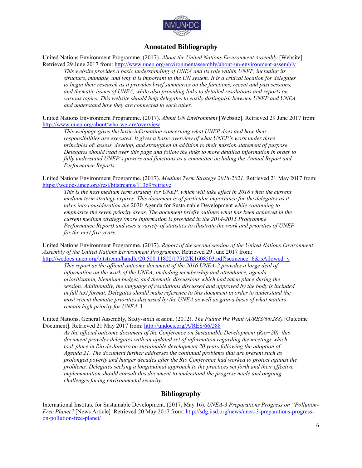

# **Annotated Bibliography**

United Nations Environment Programme. (2017). *About the United Nations Environment Assembly* [Website]. Retrieved 29 June 2017 from:<http://www.unep.org/environmentassembly/about-un-environment-assembly>

*This website provides a basic understanding of UNEA and its role within UNEP, including its structure, mandate, and why it is important to the UN system. It is a critical location for delegates*  to begin their research as it provides brief summaries on the functions, recent and past sessions, *and thematic issues of UNEA, while also providing links to detailed resolutions and reports on various topics. This website should help delegates to easily distinguish between UNEP and UNEA and understand how they are connected to each other.* 

United Nations Environment Programme. (2017). *About UN Environment* [Website]. Retrieved 29 June 2017 from: <http://www.unep.org/about/who-we-are/overview>

*This webpage gives the basic information concerning what UNEP does and how their responsibilities are executed. It gives a basic overview of what UNEP's work under three principles of: assess, develop, and strengthen in addition to their mission statement of purpose. Delegates should read over this page and follow the links to more detailed information in order to fully understand UNEP's powers and functions as a committee including the Annual Report and Performance Reports.* 

United Nations Environment Programme. (2017). *Medium Term Strategy 2018-2021*. Retrieved 21 May 2017 from: <https://wedocs.unep.org/rest/bitstreams/11369/retrieve>

*This is the next medium term strategy for UNEP, which will take effect in 2018 when the current medium term strategy expires. This document is of particular importance for the delegates as it takes into consideration the* 2030 Agenda for Sustainable Development *while continuing to emphasize the seven priority areas. The document briefly outlines what has been achieved in the current medium strategy (more information is provided in the 2014-2015 Programme Performance Report) and uses a variety of statistics to illustrate the work and priorities of UNEP for the next five years.* 

United Nations Environment Programme. (2017). *Report of the second session of the United Nations Environment Assembly of the United Nations Environment Programme*. Retrieved 29 June 2017 from: <http://wedocs.unep.org/bitstream/handle/20.500.11822/17512/K1608503.pdf?sequence=6&isAllowed=y>

*This report as the official outcome document of the 2016 UNEA-2 provides a large deal of information on the work of the UNEA, including membership and attendance, agenda prioritization, biennium budget, and thematic discussions which had taken place during the session. Additionally, the language of resolutions discussed and approved by the body is included in full text format. Delegates should make reference to this document in order to understand the most recent thematic priorities discussed by the UNEA as well as gain a basis of what matters remain high priority for UNEA-3.*

United Nations, General Assembly, Sixty-sixth session. (2012). *The Future We Want (A/RES/66/288)* [Outcome Document]. Retrieved 21 May 2017 from:<http://undocs.org/A/RES/66/288>

*As the official outcome document of the Conference on Sustainable Development (Rio+20), this document provides delegates with an updated set of information regarding the meetings which took place in Rio de Janeiro on sustainable development 20 years following the adoption of Agenda 21. The document further addresses the continual problems that are present such as prolonged poverty and hunger decades after the Rio Conference had worked to protect against the problems. Delegates seeking a longitudinal approach to the practices set forth and their effective implementation should consult this document to understand the progress made and ongoing challenges facing environmental security.* 

### **Bibliography**

International Institute for Sustainable Development. (2017, May 16). *UNEA-3 Preparations Progress on "Pollution-Free Planet"* [News Article]*.* Retrieved 20 May 2017 from: [http://sdg.iisd.org/news/unea-3-preparations-progress](http://sdg.iisd.org/news/unea-3-preparations-progress-on-pollution-free-planet/)[on-pollution-free-planet/](http://sdg.iisd.org/news/unea-3-preparations-progress-on-pollution-free-planet/)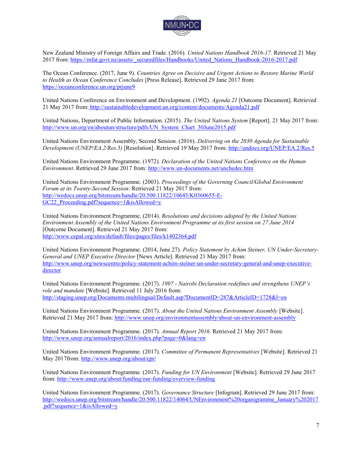

New Zealand Ministry of Foreign Affairs and Trade. (2016). *United Nations Handbook 2016-17.* Retrieved 21 May 2017 from: [https://mfat.govt.nz/assets/\\_securedfiles/Handbooks/United\\_Nations\\_Handbook-2016-2017.pdf](https://mfat.govt.nz/assets/_securedfiles/Handbooks/United_Nations_Handbook-2016-2017.pdf) 

The Ocean Conference. (2017, June 9). *Countries Agree on Decisive and Urgent Actions to Restore Marine World to Health as Ocean Conference Concludes* [Press Release]. Retrieved 29 June 2017 from: <https://oceanconference.un.org/prjune9>

United Nations Conference on Environment and Development. (1992). *Agenda 21* [Outcome Document]. Retrieved 21 May 2017 from[: http://sustainabledevelopment.un.org/content/documents/Agenda21.pdf](http://sustainabledevelopment.un.org/content/documents/Agenda21.pdf)

United Nations, Department of Public Information. (2015). *The United Nations System* [Report]. 21 May 2017 from: [http://www.un.org/en/aboutun/structure/pdfs/UN\\_System\\_Chart\\_30June2015.pdf](http://www.un.org/en/aboutun/structure/pdfs/UN_System_Chart_30June2015.pdf) 

United Nations Environment Assembly, Second Session. (2016). *Delivering on the 2030 Agenda for Sustainable Development (UNEP/EA.2/Res.5)* [Resolution]. Retrieved 19 May 2017 from:<http://undocs.org/UNEP/EA.2/Res.5>

United Nations Environment Programme. (1972). *Declaration of the United Nations Conference on the Human Environment*. Retrieved 29 June 2017 from:<http://www.un-documents.net/unchedec.htm>

United Nations Environment Programme. (2003). *Proceedings of the Governing Council/Global Environment Forum at its Twenty-Second Session*. Retrieved 21 May 2017 from: [http://wedocs.unep.org/bitstream/handle/20.500.11822/10645/K0360655-E-](http://wedocs.unep.org/bitstream/handle/20.500.11822/10645/K0360655-E-GC22_Proceeding.pdf?sequence=1&isAllowed=y)GC22\_Proceeding.pdf?sequence=1&isAllowed=y

United Nations Environment Programme. (2014). *Resolutions and decisions adopted by the United Nations Environment Assembly of the United Nations Environment Programme at its first session on 27 June 2014*  [Outcome Document]. Retrieved 21 May 2017 from: <http://www.cepal.org/sites/default/files/pages/files/k1402364.pdf>

United Nations Environment Programme. (2014, June 27). *Policy Statement by Achim Steiner, UN Under-Secretary-General and UNEP Executive Director* [News Article]. Retrieved 21 May 2017 from: [http://www.unep.org/newscentre/policy-statement-achim-steiner-un-under-secretary-general-and-unep-executive](http://www.unep.org/newscentre/policy-statement-achim-steiner-un-under-secretary-general-and-unep-executive-director)[director](http://www.unep.org/newscentre/policy-statement-achim-steiner-un-under-secretary-general-and-unep-executive-director)

United Nations Environment Programme. (2017). *1997 - Nairobi Declaration redefines and strengthens UNEP's role and mandate* [Website]. Retrieved 11 July 2016 from: http://staging.unep.org/Documents.multilingual/Default.asp?DocumentID=287&ArticleID=1728&l=en

United Nations Environment Programme. (2017). *About the United Nations Environment Assembly* [Website]. Retrieved 21 May 2017 from:<http://www.unep.org/environmentassembly/about-un-environment-assembly>

United Nations Environment Programme. (2017). *Annual Report 2016*. Retrieved 21 May 2017 from: <http://www.unep.org/annualreport/2016/index.php?page=0&lang=en>

United Nations Environment Programme. (2017). *Committee of Permanent Representatives* [Website]. Retrieved 21 May 2017from:<http://www.unep.org/about/cpr/>

United Nations Environment Programme. (2017). *Funding for UN Environment* [Website]. Retrieved 29 June 2017 from[: http://www.unep.org/about/funding/our-funding/overview-funding](http://www.unep.org/about/funding/our-funding/overview-funding) 

United Nations Environment Programme. (2017). *Governance Structure* [Infogram]. Retrieved 29 June 2017 from: [http://wedocs.unep.org/bitstream/handle/20.500.11822/14064/UNEnvironment%20organigramme\\_January%202017](http://wedocs.unep.org/bitstream/handle/20.500.11822/14064/UNEnvironment%20organigramme_January%202017.pdf?sequence=1&isAllowed=y) [.pdf?sequence=1&isAllowed=y](http://wedocs.unep.org/bitstream/handle/20.500.11822/14064/UNEnvironment%20organigramme_January%202017.pdf?sequence=1&isAllowed=y)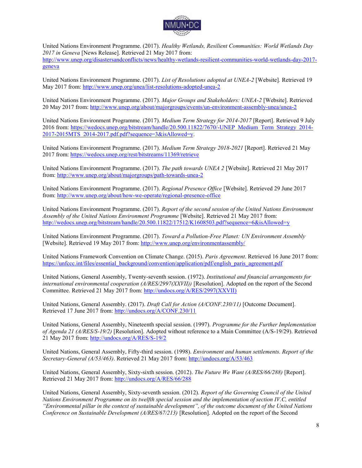

United Nations Environment Programme. (2017). *Healthy Wetlands, Resilient Communities: World Wetlands Day 2017 in Geneva* [News Release]. Retrieved 21 May 2017 from: [http://www.unep.org/disastersandconflicts/news/healthy-wetlands-resilient-communities-world-wetlands-day-2017](http://www.unep.org/disastersandconflicts/news/healthy-wetlands-resilient-communities-world-wetlands-day-2017-geneva) [geneva](http://www.unep.org/disastersandconflicts/news/healthy-wetlands-resilient-communities-world-wetlands-day-2017-geneva) 

United Nations Environment Programme. (2017). *List of Resolutions adopted at UNEA-2* [Website]*.* Retrieved 19 May 2017 from:<http://www.unep.org/unea/list-resolutions-adopted-unea-2>

United Nations Environment Programme. (2017). *Major Groups and Stakeholders: UNEA-2* [Website]. Retrieved 20 May 2017 from:<http://www.unep.org/about/majorgroups/events/un-environment-assembly-unea/unea-2>

United Nations Environment Programme. (2017). *Medium Term Strategy for 2014-2017* [Report]. Retrieved 9 July 2016 from: [https://wedocs.unep.org/bitstream/handle/20.500.11822/7670/-UNEP\\_Medium\\_Term\\_Strategy\\_2014-](https://wedocs.unep.org/bitstream/handle/20.500.11822/7670/-UNEP_Medium_Term_Strategy_2014-2017-2015MTS_2014-2017.pdf.pdf?sequence=3&isAllowed=y)  $2017-2015\overline{\text{MTS}}$   $2014-2017.\text{ndf}$ .  $\text{ndf}$ ?sequence=3&isAllowed=y.

United Nations Environment Programme. (2017). *Medium Term Strategy 2018-2021* [Report]. Retrieved 21 May 2017 from:<https://wedocs.unep.org/rest/bitstreams/11369/retrieve>

United Nations Environment Programme. (2017). *The path towards UNEA 2* [Website]. Retrieved 21 May 2017 from[: http://www.unep.org/about/majorgroups/path-towards-unea-2](http://www.unep.org/about/majorgroups/path-towards-unea-2) 

United Nations Environment Programme. (2017). *Regional Presence Office* [Website]. Retrieved 29 June 2017 from[: http://www.unep.org/about/how-we-operate/regional-presence-office](http://www.unep.org/about/how-we-operate/regional-presence-office) 

United Nations Environment Programme. (2017). *Report of the second session of the United Nations Environment Assembly of the United Nations Environment Programme* [Website]. Retrieved 21 May 2017 from: <http://wedocs.unep.org/bitstream/handle/20.500.11822/17512/K1608503.pdf?sequence=6&isAllowed=y>

United Nations Environment Programme. (2017). *Toward a Pollution-Free Planet: UN Environment Assembly* [Website]. Retrieved 19 May 2017 from:<http://www.unep.org/environmentassembly/>

United Nations Framework Convention on Climate Change. (2015). *Paris Agreement*. Retrieved 16 June 2017 from: [https://unfccc.int/files/essential\\_background/convention/application/pdf/english\\_paris\\_agreement.pdf](https://unfccc.int/files/essential_background/convention/application/pdf/english_paris_agreement.pdf) 

United Nations, General Assembly, Twenty-seventh session. (1972). *Institutional and financial arrangements for international environmental cooperation (A/RES/2997(XXVII))* [Resolution]. Adopted on the report of the Second Committee. Retrieved 21 May 2017 from: [http://undocs.org/A/RES/2997\(XXVII\)](http://undocs.org/A/RES/2997(XXVII))

United Nations, General Assembly. (2017). *Draft Call for Action (A/CONF.230/11)* [Outcome Document]. Retrieved 17 June 2017 from:<http://undocs.org/A/CONF.230/11>

United Nations, General Assembly, Nineteenth special session. (1997). *Programme for the Further Implementation of Agenda 21 (A/RES/S-19/2)* [Resolution]. Adopted without reference to a Main Committee (A/S-19/29). Retrieved 21 May 2017 from:<http://undocs.org/A/RES/S-19/2>

United Nations, General Assembly, Fifty-third session. (1998). *Environment and human settlements. Report of the Secretary-General (A/53/463)*. Retrieved 21 May 2017 from:<http://undocs.org/A/53/463>

United Nations, General Assembly, Sixty-sixth session. (2012). *The Future We Want (A/RES/66/288)* [Report]. Retrieved 21 May 2017 from:<http://undocs.org/A/RES/66/288>

United Nations, General Assembly, Sixty-seventh session. (2012). *Report of the Governing Council of the United Nations Environment Programme on its twelfth special session and the implementation of section IV.C, entitled "Environmental pillar in the context of sustainable development", of the outcome document of the United Nations Conference on Sustainable Development (A/RES/67/213)* [Resolution]. Adopted on the report of the Second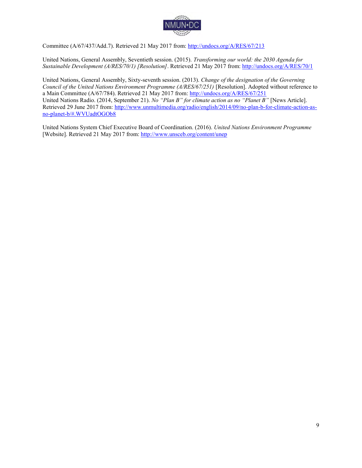

Committee (A/67/437/Add.7). Retrieved 21 May 2017 from:<http://undocs.org/A/RES/67/213>

United Nations, General Assembly, Seventieth session. (2015). *Transforming our world: the 2030 Agenda for Sustainable Development (A/RES/70/1) [Resolution]*. Retrieved 21 May 2017 from[: http://undocs.org/A/RES/70/1](http://undocs.org/A/RES/70/1) 

United Nations, General Assembly, Sixty-seventh session. (2013). *Change of the designation of the Governing Council of the United Nations Environment Programme (A/RES/67/251)* [Resolution]. Adopted without reference to a Main Committee (A/67/784). Retrieved 21 May 2017 from:<http://undocs.org/A/RES/67/251> United Nations Radio. (2014, September 21). *No "Plan B" for climate action as no "Planet B"* [News Article]. Retrieved 29 June 2017 from: [http://www.unmultimedia.org/radio/english/2014/09/no-plan-b-for-climate-action-as](http://www.unmultimedia.org/radio/english/2014/09/no-plan-b-for-climate-action-as-no-planet-b/#.WVUadtOGOb8)[no-planet-b/#.WVUadtOGOb8](http://www.unmultimedia.org/radio/english/2014/09/no-plan-b-for-climate-action-as-no-planet-b/#.WVUadtOGOb8) 

United Nations System Chief Executive Board of Coordination. (2016). *United Nations Environment Programme* [Website]. Retrieved 21 May 2017 from:<http://www.unsceb.org/content/unep>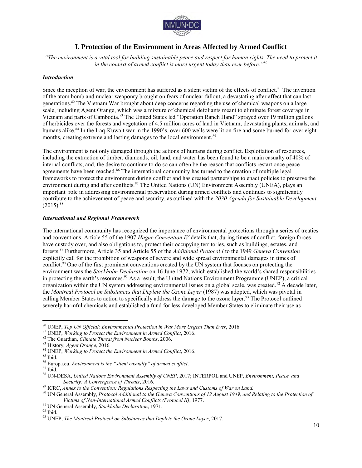

# **I. Protection of the Environment in Areas Affected by Armed Conflict**

*"The environment is a vital tool for building sustainable peace and respect for human rights. The need to protect it in the context of armed conflict is more urgent today than ever before."*<sup>80</sup>

#### *Introduction*

Since the inception of war, the environment has suffered as a silent victim of the effects of conflict.<sup>81</sup> The invention of the atom bomb and nuclear weaponry brought on fears of nuclear fallout, a devastating after affect that can last generations.<sup>82</sup> The Vietnam War brought about deep concerns regarding the use of chemical weapons on a large scale, including Agent Orange, which was a mixture of chemical defoliants meant to eliminate forest coverage in Vietnam and parts of Cambodia.<sup>83</sup> The United States led "Operation Ranch Hand" sprayed over 19 million gallons of herbicides over the forests and vegetation of 4.5 million acres of land in Vietnam, devastating plants, animals, and humans alike.<sup>84</sup> In the Iraq-Kuwait war in the 1990's, over 600 wells were lit on fire and some burned for over eight months, creating extreme and lasting damages to the local environment.<sup>85</sup>

The environment is not only damaged through the actions of humans during conflict. Exploitation of resources, including the extraction of timber, diamonds, oil, land, and water has been found to be a main casualty of 40% of internal conflicts, and, the desire to continue to do so can often be the reason that conflicts restart once peace agreements have been reached.<sup>86</sup> The international community has turned to the creation of multiple legal frameworks to protect the environment during conflict and has created partnerships to enact policies to preserve the environment during and after conflicts.<sup>87</sup> The United Nations (UN) Environment Assembly (UNEA), plays an important role in addressing environmental preservation during armed conflicts and continues to significantly contribute to the achievement of peace and security, as outlined with the *2030 Agenda for Sustainable Development*  $(2015).$ <sup>88</sup>

#### *International and Regional Framework*

The international community has recognized the importance of environmental protections through a series of treaties and conventions. Article 55 of the 1907 *Hague Convention IV* details that, during times of conflict, foreign forces have custody over, and also obligations to, protect their occupying territories, such as buildings, estates, and forests.<sup>89</sup> Furthermore, Article 35 and Article 55 of the *Additional Protocol I* to the 1949 *Geneva Convention* explicitly call for the prohibition of weapons of severe and wide spread environmental damages in times of conflict.<sup>90</sup> One of the first prominent conventions created by the UN system that focuses on protecting the environment was the *Stockholm Declaration* on 16 June 1972, which established the world's shared responsibilities in protecting the earth's resources.<sup>91</sup> As a result, the United Nations Environment Programme (UNEP), a critical organization within the UN system addressing environmental issues on a global scale, was created.<sup>92</sup> A decade later, the *Montreal Protocol on Substances that Deplete the Ozone Layer* (1987) was adopted, which was pivotal in calling Member States to action to specifically address the damage to the ozone layer.<sup>93</sup> The Protocol outlined severely harmful chemicals and established a fund for less developed Member States to eliminate their use as

<sup>80</sup> UNEP, *Top UN Official: Environmental Protection in War More Urgent Than Ever*, 2016.

<sup>81</sup> UNEP, *Working to Protect the Environment in Armed Conflict*, 2016.

<sup>82</sup> The Guardian, *Climate Threat from Nuclear Bombs*, 2006.

<sup>83</sup> History, *Agent Orange*, 2016.

<sup>84</sup> UNEP, *Working to Protect the Environment in Armed Conflict*, 2016.

 $^{85}$  Ibid.

<sup>86</sup> Europa.eu, *Environment is the "silent casualty" of armed conflict*.

 $87$  Ibid.

<sup>88</sup> UN-DESA, *United Nations Environment Assembly of UNEP*, 2017; INTERPOL and UNEP, *Environment, Peace, and Security: A Convergence of Threats*, 2016.

<sup>89</sup> ICRC, *Annex to the Convention: Regulations Respecting the Laws and Customs of War on Land.*

<sup>90</sup> UN General Assembly, *Protocol Additional to the Geneva Conventions of 12 August 1949, and Relating to the Protection of Victims of Non-International Armed Conflicts (Protocol II)*, 1977.

<sup>91</sup> UN General Assembly, *Stockholm Declaration*, 1971.

 $92$  Ibid.

<sup>93</sup> UNEP, *The Montreal Protocol on Substances that Deplete the Ozone Layer*, 2017.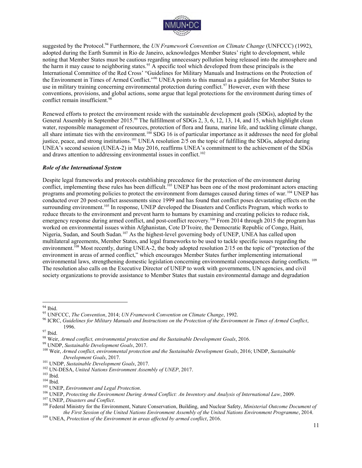

suggested by the Protocol.<sup>94</sup> Furthermore, the *UN Framework Convention on Climate Change* (UNFCCC) (1992), adopted during the Earth Summit in Rio de Janeiro, acknowledges Member States' right to development, while noting that Member States must be cautious regarding unnecessary pollution being released into the atmosphere and the harm it may cause to neighboring states.<sup>95</sup> A specific tool which developed from these principals is the International Committee of the Red Cross' "Guidelines for Military Manuals and Instructions on the Protection of the Environment in Times of Armed Conflict."<sup>96</sup> UNEA points to this manual as a guideline for Member States to use in military training concerning environmental protection during conflict.<sup>97</sup> However, even with these conventions, provisions, and global actions, some argue that legal protections for the environment during times of conflict remain insufficient.<sup>98</sup>

Renewed efforts to protect the environment reside with the sustainable development goals (SDGs), adopted by the General Assembly in September 2015.<sup>99</sup> The fulfillment of SDGs 2, 3, 6, 12, 13, 14, and 15, which highlight clean water, responsible management of resources, protection of flora and fauna, marine life, and tackling climate change, all share intimate ties with the environment.<sup>100</sup> SDG 16 is of particular importance as it addresses the need for global justice, peace, and strong institutions.<sup>101</sup> UNEA resolution 2/5 on the topic of fulfilling the SDGs, adopted during UNEA's second session (UNEA-2) in May 2016, reaffirms UNEA's commitment to the achievement of the SDGs and draws attention to addressing environmental issues in conflict.<sup>102</sup>

#### *Role of the International System*

Despite legal frameworks and protocols establishing precedence for the protection of the environment during conflict, implementing these rules has been difficult.<sup>103</sup> UNEP has been one of the most predominant actors enacting programs and promoting policies to protect the environment from damages caused during times of war.<sup>104</sup> UNEP has conducted over 20 post-conflict assessments since 1999 and has found that conflict poses devastating effects on the surrounding environment.<sup>105</sup> In response, UNEP developed the Disasters and Conflicts Program, which works to reduce threats to the environment and prevent harm to humans by examining and creating policies to reduce risk, emergency response during armed conflict, and post-conflict recovery.<sup>106</sup> From 2014 through 2015 the program has worked on environmental issues within Afghanistan, Cote D'Ivoire, the Democratic Republic of Congo, Haiti, Nigeria, Sudan, and South Sudan.<sup>107</sup> As the highest-level governing body of UNEP, UNEA has called upon multilateral agreements, Member States, and legal frameworks to be used to tackle specific issues regarding the environment.<sup>108</sup> Most recently, during UNEA-2, the body adopted resolution 2/15 on the topic of "protection of the environment in areas of armed conflict," which encourages Member States further implementing international environmental laws, strengthening domestic legislation concerning environmental consequences during conflicts. <sup>109</sup> The resolution also calls on the Executive Director of UNEP to work with governments, UN agencies, and civil society organizations to provide assistance to Member States that sustain environmental damage and degradation

 $\overline{a}$ <sup>94</sup> Ibid.

<sup>95</sup> UNFCCC, *The Convention*, 2014; *UN Framework Convention on Climate Change*, 1992.

<sup>96</sup> ICRC, *Guidelines for Military Manuals and Instructions on the Protection of the Environment in Times of Armed Conflict*, 1996.

<sup>97</sup> Ibid.

<sup>98</sup> Weir, *Armed conflict, environmental protection and the Sustainable Development Goals*, 2016.

<sup>99</sup> UNDP, *Sustainable Development Goals*, 2017.

<sup>100</sup> Weir, *Armed conflict, environmental protection and the Sustainable Development Goals*, 2016; UNDP, *Sustainable Development Goals*, 2017.

<sup>101</sup> UNDP, *Sustainable Development Goals*, 2017.

<sup>102</sup> UN-DESA, *United Nations Environment Assembly of UNEP*, 2017.

 $103$  Ibid.

 $^{104}$  Ibid.

<sup>105</sup> UNEP, *Environment and Legal Protection*.

<sup>106</sup> UNEP, *Protecting the Environment During Armed Conflict: An Inventory and Analysis of International Law*, 2009.

<sup>107</sup> UNEP, *Disasters and Conflict*.

<sup>108</sup> Federal Ministry for the Environment, Nature Conservation, Building, and Nuclear Safety, *Ministerial Outcome Document of the First Session of the United Nations Environment Assembly of the United Nations Environment Programme*, 2014.

<sup>109</sup> UNEA, *Protection of the Environment in areas affected by armed conflict*, 2016.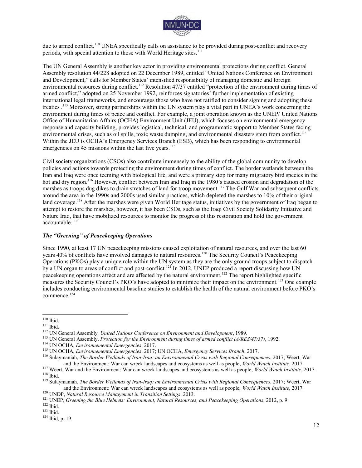

due to armed conflict.<sup>110</sup> UNEA specifically calls on assistance to be provided during post-conflict and recovery periods, with special attention to those with World Heritage sites.<sup>111</sup>

The UN General Assembly is another key actor in providing environmental protections during conflict. General Assembly resolution 44/228 adopted on 22 December 1989, entitled "United Nations Conference on Environment and Development," calls for Member States' intensified responsibility of managing domestic and foreign environmental resources during conflict.<sup>112</sup> Resolution 47/37 entitled "protection of the environment during times of armed conflict," adopted on 25 November 1992, reinforces signatories' further implementation of existing international legal frameworks, and encourages those who have not ratified to consider signing and adopting these treaties .<sup>113</sup> Moreover, strong partnerships within the UN system play a vital part in UNEA's work concerning the environment during times of peace and conflict. For example, a joint operation known as the UNEP/ United Nations Office of Humanitarian Affairs (OCHA) Environment Unit (JEU), which focuses on environmental emergency response and capacity building, provides logistical, technical, and programmatic support to Member States facing environmental crises, such as oil spills, toxic waste dumping, and environmental disasters stem from conflict.<sup>114</sup> Within the JEU is OCHA's Emergency Services Branch (ESB), which has been responding to environmental emergencies on 45 missions within the last five years.<sup>115</sup>

Civil society organizations (CSOs) also contribute immensely to the ability of the global community to develop policies and actions towards protecting the environment during times of conflict. The border wetlands between the Iran and Iraq were once teeming with biological life, and were a primary stop for many migratory bird species in the hot and dry region.<sup>116</sup> However, conflict between Iran and Iraq in the 1980's caused erosion and degradation of the marshes as troops dug dikes to drain stretches of land for troop movement.<sup>117</sup> The Gulf War and subsequent conflicts around the area in the 1990s and 2000s used similar practices, which depleted the marshes to 10% of their original land coverage.<sup>118</sup> After the marshes were given World Heritage status, initiatives by the government of Iraq began to attempt to restore the marshes, however, it has been CSOs, such as the Iraqi Civil Society Solidarity Initiative and Nature Iraq, that have mobilized resources to monitor the progress of this restoration and hold the government accountable.<sup>119</sup>

#### *The "Greening" of Peacekeeping Operations*

Since 1990, at least 17 UN peacekeeping missions caused exploitation of natural resources, and over the last 60 years 40% of conflicts have involved damages to natural resources.<sup>120</sup> The Security Council's Peacekeeping Operations (PKOs) play a unique role within the UN system as they are the only ground troops subject to dispatch by a UN organ to areas of conflict and post-conflict.<sup>121</sup> In 2012, UNEP produced a report discussing how UN peacekeeping operations affect and are affected by the natural environment.<sup>122</sup> The report highlighted specific measures the Security Council's PKO's have adopted to minimize their impact on the environment.<sup>123</sup> One example includes conducting environmental baseline studies to establish the health of the natural environment before PKO's commence.<sup>124</sup>

 $110$  Ibid.

<sup>111</sup> Ibid.

<sup>112</sup> UN General Assembly*, United Nations Conference on Environment and Development*, 1989.

<sup>113</sup> UN General Assembly, *Protection for the Environment during times of armed conflict (A/RES/47/37)*, 1992.

<sup>114</sup> UN OCHA, *Environnemental Emergencies*, 2017.

<sup>115</sup> UN OCHA, *Environnemental Emergencies*, 2017; UN OCHA, *Emergency Services Branch*, 2017.

<sup>116</sup> Sulaymaniah, *The Border Wetlands of Iran-Iraq: an Environmental Crisis with Regional Consequences*, 2017; Weert, War and the Environment: War can wreck landscapes and ecosystems as well as people, *World Watch Institute*, 2017.

<sup>117</sup> Weert, War and the Environment: War can wreck landscapes and ecosystems as well as people, *World Watch Institute*, 2017. <sup>118</sup> Ibid.

<sup>119</sup> Sulaymaniah, *The Border Wetlands of Iran-Iraq: an Environmental Crisis with Regional Consequences*, 2017; Weert, War and the Environment: War can wreck landscapes and ecosystems as well as people, *World Watch Institute*, 2017.

<sup>120</sup> UNDP, *Natural Resource Management in Transition Settings*, 2013.

<sup>121</sup> UNEP, *Greening the Blue Helmets: Environment, Natural Resources, and Peacekeeping Operations*, 2012, p. 9.

<sup>122</sup> Ibid.

 $123$  Ibid.

<sup>124</sup> Ibid, p. 19.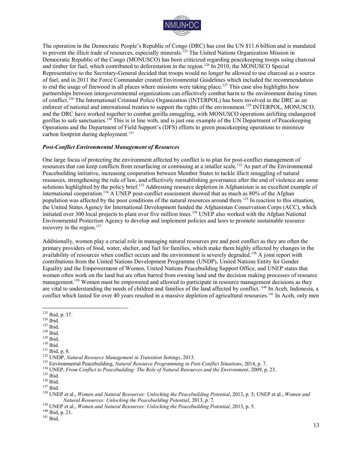

The operation in the Democratic People's Republic of Congo (DRC) has cost the UN \$11.6 billion and is mandated to prevent the illicit trade of resources, especially minerals.<sup>125</sup> The United Nations Organization Mission in Democratic Republic of the Congo (MONUSCO) has been criticized regarding peacekeeping troops using charcoal and timber for fuel, which contributed to deforestation in the region.<sup>126</sup> In 2010, the MONUSCO Special Representative to the Secretary-General decided that troops would no longer be allowed to use charcoal as a source of fuel, and in 2011 the Force Commander created Environmental Guidelines which included the recommendation to end the usage of firewood in all places where missions were taking place.<sup>127</sup> This case also highlights how partnerships between intergovernmental organizations can effectively combat harm to the environment during times of conflict.<sup>128</sup> The International Criminal Police Organization (INTERPOL) has been involved in the DRC as an enforcer of national and international treaties to support the rights of the environment.<sup>129</sup> INTERPOL, MONUSCO, and the DRC have worked together to combat gorilla smuggling, with MONUSCO operations airlifting endangered gorillas to safe sanctuaries.<sup>130</sup> This is in line with, and is just one example of the UN Department of Peacekeeping Operations and the Department of Field Support's (DFS) efforts to green peacekeeping operations to minimize carbon footprint during deployment.<sup>131</sup>

#### *Post-Conflict Environmental Management of Resources*

One large focus of protecting the environment affected by conflict is to plan for post-conflict management of resources that can keep conflicts from resurfacing or continuing at a smaller scale.<sup>132</sup> As part of the Environmental Peacebuilding initiative, increasing cooperation between Member States to tackle illicit smuggling of natural resources, strengthening the rule of law, and effectively reestablishing governance after the end of violence are some solutions highlighted by the policy brief.<sup>133</sup> Addressing resource depletion in Afghanistan is an excellent example of international cooperation.<sup>134</sup> A UNEP post-conflict assessment showed that as much as 80% of the Afghan population was affected by the poor conditions of the natural resources around them.<sup>135</sup> In reaction to this situation, the United States Agency for International Development funded the Afghanistan Conservation Corps (ACC), which initiated over 300 local projects to plant over five million trees.<sup>136</sup> UNEP also worked with the Afghan National Environmental Protection Agency to develop and implement policies and laws to promote sustainable resource recovery in the region.<sup>137</sup>

Additionally, women play a crucial role in managing natural resources pre and post conflict as they are often the primary providers of food, water, shelter, and fuel for families, which make them highly affected by changes in the availability of resources when conflict occurs and the environment is severely degraded.<sup>138</sup> A joint report with contributions from the United Nations Development Programme (UNDP), United Nations Entity for Gender Equality and the Empowerment of Women, United Nations Peacebuilding Support Office, and UNEP states that women often work on the land but are often barred from owning land and the decision making processes of resource management.<sup>139</sup> Women must be empowered and allowed to participate in resource management decisions as they are vital to understanding the needs of children and families of the land affected by conflict. <sup>140</sup> In Aceh, Indonesia, a conflict which lasted for over 40 years resulted in a massive depletion of agricultural resources.<sup>141</sup> In Aceh, only men

 $^{126}$  Ibid.

- $127$  Ibid.
- $128$  Ibid.
- <sup>129</sup> Ibid.
- $130$  Ibid.

<sup>&</sup>lt;sup>125</sup> Ibid, p. 37.

<sup>131</sup> Ibid, p. 8.

<sup>132</sup> UNDP, *Natural Resource Management in Transition Settings*, 2013.

<sup>133</sup> Environmental Peacebuilding, *Natural Resource Programming in Post-Conflict Situations*, 2014, p. 7.

<sup>&</sup>lt;sup>134</sup> UNEP, *From Conflict to Peacebuilding: The Role of Natural Resources and the Environment*, 2009, p. 23.

 $^{135}$  Ibid.

<sup>136</sup> Ibid.

<sup>137</sup> Ibid.

<sup>138</sup> UNEP et al., *Women and Natural Resources: Unlocking the Peacebuilding Potential*, 2013, p. 5; UNEP et al., *Women and Natural Resources: Unlocking the Peacebuilding Potential*, 2013, p. 7.

<sup>&</sup>lt;sup>139</sup> UNEP et al., *Women and Natural Resources: Unlocking the Peacebuilding Potential*, 2013, p. 5.

<sup>&</sup>lt;sup>140</sup> Ibid, p. 21.

<sup>141</sup> Ibid.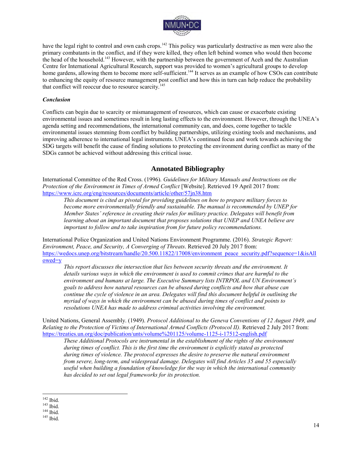

have the legal right to control and own cash crops.<sup>142</sup> This policy was particularly destructive as men were also the primary combatants in the conflict, and if they were killed, they often left behind women who would then become the head of the household.<sup>143</sup> However, with the partnership between the government of Aceh and the Australian Centre for International Agricultural Research, support was provided to women's agricultural groups to develop home gardens, allowing them to become more self-sufficient.<sup>144</sup> It serves as an example of how CSOs can contribute to enhancing the equity of resource management post conflict and how this in turn can help reduce the probability that conflict will reoccur due to resource scarcity.<sup>145</sup>

#### *Conclusion*

Conflicts can begin due to scarcity or mismanagement of resources, which can cause or exacerbate existing environmental issues and sometimes result in long lasting effects to the environment. However, through the UNEA's agenda setting and recommendations, the international community can, and does, come together to tackle environmental issues stemming from conflict by building partnerships, utilizing existing tools and mechanisms, and improving adherence to international legal instruments. UNEA's continued focus and work towards achieving the SDG targets will benefit the cause of finding solutions to protecting the environment during conflict as many of the SDGs cannot be achieved without addressing this critical issue.

# **Annotated Bibliography**

International Committee of the Red Cross. (1996). *Guidelines for Military Manuals and Instructions on the Protection of the Environment in Times of Armed Conflict* [Website]. Retrieved 19 April 2017 from: <https://www.icrc.org/eng/resources/documents/article/other/57jn38.htm>

*This document is cited as pivotal for providing guidelines on how to prepare military forces to become more environmentally friendly and sustainable. The manual is recommended by UNEP for Member States' reference in creating their rules for military practice. Delegates will benefit from learning about an important document that proposes solutions that UNEP and UNEA believe are important to follow and to take inspiration from for future policy recommendations.* 

International Police Organization and United Nations Environment Programme. (2016). *Strategic Report: Environment, Peace, and Security, A Converging of Threats*. Retrieved 20 July 2017 from: [https://wedocs.unep.org/bitstream/handle/20.500.11822/17008/environment\\_peace\\_security.pdf?sequence=1&isAll](https://wedocs.unep.org/bitstream/handle/20.500.11822/17008/environment_peace_security.pdf?sequence=1&isAllowed=y) [owed=y](https://wedocs.unep.org/bitstream/handle/20.500.11822/17008/environment_peace_security.pdf?sequence=1&isAllowed=y) 

*This report discusses the intersection that lies between security threats and the environment. It details various ways in which the environment is used to commit crimes that are harmful to the environment and humans at large. The Executive Summary lists INTRPOL and UN Environment's goals to address how natural resources can be abused during conflicts and how that abuse can continue the cycle of violence in an area. Delegates will find this document helpful in outlining the myriad of ways in which the environment can be abused during times of conflict and points to resolutions UNEA has made to address criminal activities involving the environment.* 

United Nations, General Assembly. (1949). *Protocol Additional to the Geneva Conventions of 12 August 1949, and Relating to the Protection of Victims of International Armed Conflicts (Protocol II).* Retrieved 2 July 2017 from: <https://treaties.un.org/doc/publication/unts/volume%201125/volume-1125-i-17512-english.pdf>

*These Additional Protocols are instrumental in the establishment of the rights of the environment during times of conflict. This is the first time the environment is explicitly stated as protected during times of violence. The protocol expresses the desire to preserve the natural environment from severe, long-term, and widespread damage. Delegates will find Articles 35 and 55 especially useful when building a foundation of knowledge for the way in which the international community has decided to set out legal frameworks for its protection.* 

 $\overline{a}$  $142$  Ibid.

<sup>143</sup> Ibid.

<sup>144</sup> Ibid.

<sup>145</sup> Ibid.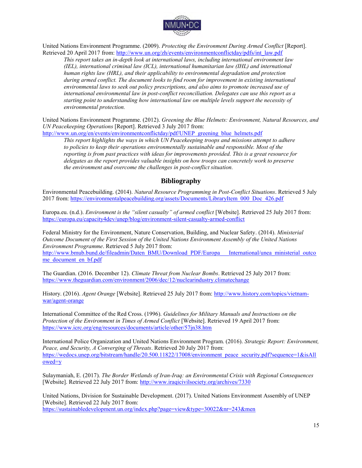

United Nations Environment Programme. (2009). *Protecting the Environment During Armed Conflict* [Report]. Retrieved 20 April 2017 from[: http://www.un.org/zh/events/environmentconflictday/pdfs/int\\_law.pdf](http://www.un.org/zh/events/environmentconflictday/pdfs/int_law.pdf)

*This report takes an in-depth look at international laws, including international environment law (IEL), international criminal law (ICL), international humanitarian law (IHL) and international human rights law (HRL), and their applicability to environmental degradation and protection during armed conflict. The document looks to find room for improvement in existing international environmental laws to seek out policy prescriptions, and also aims to promote increased use of international environmental law in post-conflict reconciliation. Delegates can use this report as a starting point to understanding how international law on multiple levels support the necessity of environmental protection.* 

United Nations Environment Programme. (2012). *Greening the Blue Helmets: Environment, Natural Resources, and UN Peacekeeping Operations* [Report]. Retrieved 3 July 2017 from:

http://www.un.org/en/events/environmentconflictday/pdf/UNEP greening blue helmets.pdf

*This report highlights the ways in which UN Peacekeeping troops and missions attempt to adhere to policies to keep their operations environmentally sustainable and responsible. Most of the reporting is from past practices with ideas for improvements provided. This is a great resource for delegates as the report provides valuable insights on how troops can concretely work to preserve the environment and overcome the challenges in post-conflict situation.* 

# **Bibliography**

Environmental Peacebuilding. (2014). *Natural Resource Programming in Post-Conflict Situations*. Retrieved 5 July 2017 from: [https://environmentalpeacebuilding.org/assets/Documents/LibraryItem\\_000\\_Doc\\_426.pdf](https://environmentalpeacebuilding.org/assets/Documents/LibraryItem_000_Doc_426.pdf) 

Europa.eu. (n.d.). *Environment is the "silent casualty" of armed conflict* [Website]. Retrieved 25 July 2017 from: <https://europa.eu/capacity4dev/unep/blog/environment-silent-casualty-armed-conflict>

Federal Ministry for the Environment, Nature Conservation, Building, and Nuclear Safety. (2014). *Ministerial Outcome Document of the First Session of the United Nations Environment Assembly of the United Nations Environment Programme*. Retrieved 5 July 2017 from:

[http://www.bmub.bund.de/fileadmin/Daten\\_BMU/Download\\_PDF/Europa\\_\\_\\_International/unea\\_ministerial\\_outco](http://www.bmub.bund.de/fileadmin/Daten_BMU/Download_PDF/Europa___International/unea_ministerial_outcome_document_en_bf.pdf) me\_document\_en\_bf.pdf

The Guardian. (2016. December 12). *Climate Threat from Nuclear Bombs*. Retrieved 25 July 2017 from: <https://www.theguardian.com/environment/2006/dec/12/nuclearindustry.climatechange>

History. (2016). *Agent Orange* [Website]. Retrieved 25 July 2017 from: [http://www.history.com/topics/vietnam](http://www.history.com/topics/vietnam-war/agent-orange)[war/agent-orange](http://www.history.com/topics/vietnam-war/agent-orange) 

International Committee of the Red Cross. (1996). *Guidelines for Military Manuals and Instructions on the Protection of the Environment in Times of Armed Conflict* [Website]. Retrieved 19 April 2017 from: <https://www.icrc.org/eng/resources/documents/article/other/57jn38.htm>

International Police Organization and United Nations Environment Program. (2016). *Strategic Report: Environment, Peace, and Security, A Converging of Threats*. Retrieved 20 July 2017 from: [https://wedocs.unep.org/bitstream/handle/20.500.11822/17008/environment\\_peace\\_security.pdf?sequence=1&isAll](https://wedocs.unep.org/bitstream/handle/20.500.11822/17008/environment_peace_security.pdf?sequence=1&isAllowed=y) [owed=y](https://wedocs.unep.org/bitstream/handle/20.500.11822/17008/environment_peace_security.pdf?sequence=1&isAllowed=y) 

Sulaymaniah, E. (2017). *The Border Wetlands of Iran-Iraq: an Environmental Crisis with Regional Consequences* [Website]. Retrieved 22 July 2017 from:<http://www.iraqicivilsociety.org/archives/7330>

United Nations, Division for Sustainable Development. (2017). United Nations Environment Assembly of UNEP [Website]. Retrieved 22 July 2017 from: <https://sustainabledevelopment.un.org/index.php?page=view&type=30022&nr=243&men>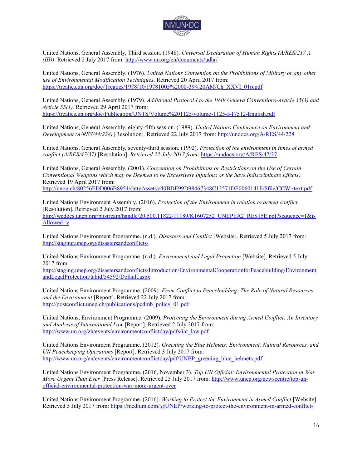

United Nations, General Assembly, Third session. (1948). *Universal Declaration of Human Rights (A/RES/217 A (III))*. Retrieved 2 July 2017 from:<http://www.un.org/en/documents/udhr/>

United Nations, General Assembly. (1976). *United Nations Convention on the Prohibitions of Military or any other use of Environmental Modification Techniques*. Retrieved 20 April 2017 from: [https://treaties.un.org/doc/Treaties/1978/10/19781005%2000-39%20AM/Ch\\_XXVI\\_01p.pdf](https://treaties.un.org/doc/Treaties/1978/10/19781005%2000-39%20AM/Ch_XXVI_01p.pdf) 

United Nations, General Assembly. (1979). *Additional Protocol I to the 1949 Geneva Conventions-Article 35(3) and Article 55(1).* Retrieved 29 April 2017 from: <https://treaties.un.org/doc/Publication/UNTS/Volume%201125/volume-1125-I-17512-English.pdf>

United Nations, General Assembly, eighty-fifth session. (1989). *United Nations Conference on Environment and Development (A/RES/44/228)* [Resolution]*.* Retrieved 22 July 2017 from:<http://undocs.org/A/RES/44/228>

United Nations, General Assembly, seventy-third session. (1992). *Protection of the environment in times of armed conflict (A/RES/47/37)* [Resolution]*. Retrieved 22 July 2017 from:* <https://undocs.org/A/RES/47/37>

United Nations, General Assembly. (2001). *Convention on Prohibitions or Restrictions on the Use of Certain Conventional Weapons which may be Deemed to be Excessively Injurious or the have Indiscriminate Effects*. Retrieved 19 April 2017 from:

[http://unog.ch/80256EDD006B8954/\(httpAssets\)/40BDE99D98467348C12571DE0060141E/\\$file/CCW+text.pdf](http://unog.ch/80256EDD006B8954/(httpAssets)/40BDE99D98467348C12571DE0060141E/$file/CCW+text.pdf)

United Nations Environment Assembly. (2016). *Protection of the Environment in relation to armed conflict*  [Resolution]. Retrieved 2 July 2017 from: [http://wedocs.unep.org/bitstream/handle/20.500.11822/11189/K1607252\\_UNEPEA2\\_RES15E.pdf?sequence=1&is](http://wedocs.unep.org/bitstream/handle/20.500.11822/11189/K1607252_UNEPEA2_RES15E.pdf?sequence=1&isAllowed=y) [Allowed=y](http://wedocs.unep.org/bitstream/handle/20.500.11822/11189/K1607252_UNEPEA2_RES15E.pdf?sequence=1&isAllowed=y)

United Nations Environment Programme. (n.d.). *Disasters and Conflict* [Website]. Retrieved 5 July 2017 from: <http://staging.unep.org/disastersandconflicts/>

United Nations Environment Programme. (n.d.). *Environment and Legal Protection* [Website]. Retrieved 5 July 2017 from:

[http://staging.unep.org/disastersandconflicts/Introduction/EnvironmentalCooperationforPeacebuilding/Environment](http://staging.unep.org/disastersandconflicts/Introduction/EnvironmentalCooperationforPeacebuilding/EnvironmentandLegalProtection/tabid/54592/Default.aspx) [andLegalProtection/tabid/54592/Default.aspx](http://staging.unep.org/disastersandconflicts/Introduction/EnvironmentalCooperationforPeacebuilding/EnvironmentandLegalProtection/tabid/54592/Default.aspx) 

United Nations Environment Programme. (2009). *From Conflict to Peacebuilding: The Role of Natural Resources and the Environment* [Report]. Retrieved 22 July 2017 from: http://postconflict.unep.ch/publications/pcdmb\_policy\_01.pdf

United Nations, Environment Programme. (2009). *Protecting the Environment during Armed Conflict: An Inventory and Analysis of International Law* [Report]. Retrieved 2 July 2017 from: [http://www.un.org/zh/events/environmentconflictday/pdfs/int\\_law.pdf](http://www.un.org/zh/events/environmentconflictday/pdfs/int_law.pdf)

United Nations Environment Programme. (2012). *Greening the Blue Helmets: Environment, Natural Resources, and UN Peacekeeping Operations* [Report]. Retrieved 3 July 2017 from: http://www.un.org/en/events/environmentconflictday/pdf/UNEP\_greening\_blue\_helmets.pdf

United Nations Environment Programme. (2016, November 3). *Top UN Official: Environmental Protection in War More Urgent Than Ever* [Press Release]. Retrieved 25 July 2017 from: [http://www.unep.org/newscentre/top-un](http://www.unep.org/newscentre/top-un-official-environmental-protection-war-more-urgent-ever)[official-environmental-protection-war-more-urgent-ever](http://www.unep.org/newscentre/top-un-official-environmental-protection-war-more-urgent-ever) 

United Nations Environment Programme. (2016). *Working to Protect the Environment in Armed Conflict* [Website]. Retrieved 5 July 2017 from: [https://medium.com/@UNEP/working-to-protect-the-environment-in-armed-conflict-](https://medium.com/@UNEP/working-to-protect-the-environment-in-armed-conflict-ce9aff1aa479)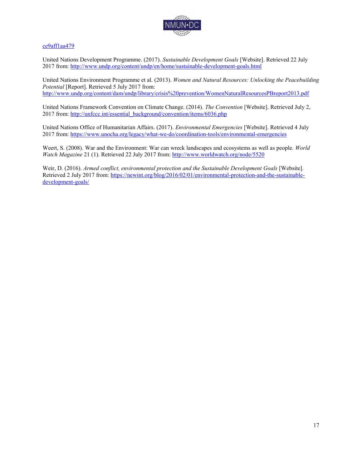

#### [ce9aff1aa479](https://medium.com/@UNEP/working-to-protect-the-environment-in-armed-conflict-ce9aff1aa479)

United Nations Development Programme. (2017). *Sustainable Development Goals* [Website]. Retrieved 22 July 2017 from: http://www.undp.org/content/undp/en/home/sustainable-development-goals.html

United Nations Environment Programme et al. (2013). *Women and Natural Resources: Unlocking the Peacebuilding Potential* [Report]. Retrieved 5 July 2017 from: <http://www.undp.org/content/dam/undp/library/crisis%20prevention/WomenNaturalResourcesPBreport2013.pdf>

United Nations Framework Convention on Climate Change. (2014). *The Convention* [Website]. Retrieved July 2, 2017 from: [http://unfccc.int/essential\\_background/convention/items/6036.php](http://unfccc.int/essential_background/convention/items/6036.php)

United Nations Office of Humanitarian Affairs. (2017). *Environmental Emergencies* [Website]. Retrieved 4 July 2017 from:<https://www.unocha.org/legacy/what-we-do/coordination-tools/environmental-emergencies>

Weert, S. (2008). War and the Environment: War can wreck landscapes and ecosystems as well as people. *World Watch Magazine* 21 (1). Retrieved 22 July 2017 from:<http://www.worldwatch.org/node/5520>

Weir, D. (2016). *Armed conflict, environmental protection and the Sustainable Development Goals* [Website]. Retrieved 2 July 2017 from: [https://newint.org/blog/2016/02/01/environmental-protection-and-the-sustainable](https://newint.org/blog/2016/02/01/environmental-protection-and-the-sustainable-development-goals/)[development-goals/](https://newint.org/blog/2016/02/01/environmental-protection-and-the-sustainable-development-goals/)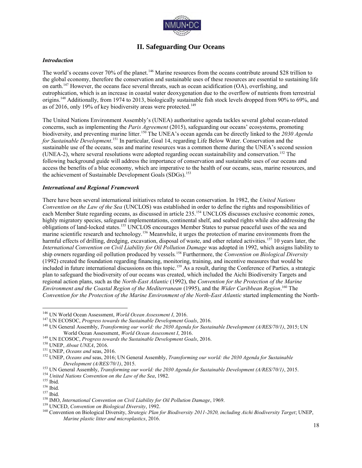

# **II. Safeguarding Our Oceans**

#### *Introduction*

The world's oceans cover 70% of the planet.<sup>146</sup> Marine resources from the oceans contribute around \$28 trillion to the global economy, therefore the conservation and sustainable uses of these resources are essential to sustaining life on earth.<sup>147</sup> However, the oceans face several threats, such as ocean acidification  $(OA)$ , overfishing, and eutrophication, which is an increase in coastal water deoxygenation due to the overflow of nutrients from terrestrial origins.<sup>148</sup> Additionally, from 1974 to 2013, biologically sustainable fish stock levels dropped from 90% to 69%, and as of 2016, only 19% of key biodiversity areas were protected.<sup>149</sup>

The United Nations Environment Assembly's (UNEA) authoritative agenda tackles several global ocean-related concerns, such as implementing the *Paris Agreement* (2015), safeguarding our oceans' ecosystems, promoting biodiversity, and preventing marine litter.<sup>150</sup> The UNEA's ocean agenda can be directly linked to the *2030 Agenda for Sustainable Development*. <sup>151</sup> In particular, Goal 14, regarding Life Below Water. Conservation and the sustainable use of the oceans, seas and marine resources was a common theme during the UNEA's second session (UNEA-2), where several resolutions were adopted regarding ocean sustainability and conservation.<sup>152</sup> The following background guide will address the importance of conservation and sustainable uses of our oceans and access the benefits of a blue economy, which are imperative to the health of our oceans, seas, marine resources, and the achievement of Sustainable Development Goals (SDGs).<sup>153</sup>

#### *International and Regional Framework*

There have been several international initiatives related to ocean conservation. In 1982, the *United Nations Convention on the Law of the Sea* (UNCLOS) was established in order to define the rights and responsibilities of each Member State regarding oceans, as discussed in article 235.<sup>154</sup> UNCLOS discusses exclusive economic zones, highly migratory species, safeguard implementations, continental shelf, and seabed rights while also addressing the obligations of land-locked states.<sup>155</sup> UNCLOS encourages Member States to pursue peaceful uses of the sea and marine scientific research and technology.<sup>156</sup> Meanwhile, it urges the protection of marine environments from the harmful effects of drilling, dredging, excavation, disposal of waste, and other related activities.<sup>157</sup> 10 years later, the *International Convention on Civil Liability for Oil Pollution Damage* was adopted in 1992, which assigns liability to ship owners regarding oil pollution produced by vessels*.* <sup>158</sup> Furthermore, the *Convention on Biological Diversity* (1992) created the foundation regarding financing, monitoring, training, and incentive measures that would be included in future international discussions on this topic.<sup>159</sup> As a result, during the Conference of Parties*,* a strategic plan to safeguard the biodiversity of our oceans was created, which included the Aichi Biodiversity Targets and regional action plans, such as the *North-East Atlantic* (1992), the *Convention for the Protection of the Marine Environment and the Coastal Region of the Mediterranean* (1995), and the *Wider Caribbean Region*. <sup>160</sup> The *Convention for the Protection of the Marine Environment of the North-East Atlantic* started implementing the North-

<sup>150</sup> UNEP, *About UNEA*, 2016.

<sup>146</sup> UN World Ocean Assessment, *World Ocean Assessment I*, 2016.

<sup>147</sup> UN ECOSOC, *Progress towards the Sustainable Development Goals*, 2016.

<sup>148</sup> UN General Assembly, *Transforming our world: the 2030 Agenda for Sustainable Development (A/RES/70/1)*, 2015; UN World Ocean Assessment, *World Ocean Assessment I*, 2016.

<sup>149</sup> UN ECOSOC, *Progress towards the Sustainable Development Goals*, 2016.

<sup>151</sup> UNEP, *Oceans and* seas, 2016.

<sup>152</sup> UNEP, *Oceans and* seas, 2016; UN General Assembly, *Transforming our world: the 2030 Agenda for Sustainable Development (A/RES/70/1)*, 2015.

<sup>153</sup> UN General Assembly, *Transforming our world: the 2030 Agenda for Sustainable Development (A/RES/70/1)*, 2015.

<sup>154</sup> *United Nations Convention on the Law of the Sea*, 1982.

 $155$  Ibid.

<sup>156</sup> Ibid.

<sup>157</sup> Ibid.

<sup>158</sup> IMO, *International Convention on Civil Liability for Oil Pollution Damage*, 1969.

<sup>159</sup> UNCED, *Convention on Biological Diversity*, 1992.

<sup>160</sup> Convention on Biological Diversity, *Strategic Plan for Biodiversity 2011-2020, including Aichi Biodiversity Target*; UNEP, *Marine plastic litter and microplastics*, 2016.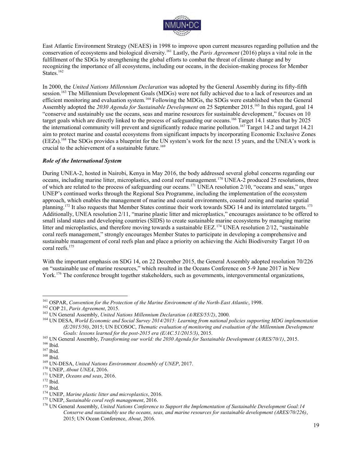

East Atlantic Environment Strategy (NEAES) in 1998 to improve upon current measures regarding pollution and the conservation of ecosystems and biological diversity.<sup>161</sup> Lastly, the *Paris Agreement* (2016) plays a vital role in the fulfillment of the SDGs by strengthening the global efforts to combat the threat of climate change and by recognizing the importance of all ecosystems, including our oceans, in the decision-making process for Member States. $162$ 

In 2000, the *United Nations Millennium Declaration* was adopted by the General Assembly during its fifty-fifth session.<sup>163</sup> The Millennium Development Goals (MDGs) were not fully achieved due to a lack of resources and an efficient monitoring and evaluation system.<sup>164</sup> Following the MDGs, the SDGs were established when the General Assembly adopted the *2030 Agenda for Sustainable Development* on 25 September 2015.<sup>165</sup> In this regard, goal 14 "conserve and sustainably use the oceans, seas and marine resources for sustainable development," focuses on 10 target goals which are directly linked to the process of safeguarding our oceans.<sup>166</sup> Target 14.1 states that by 2025 the international community will prevent and significantly reduce marine pollution.<sup>167</sup> Target 14.2 and target 14.21 aim to protect marine and coastal ecosystems from significant impacts by incorporating Economic Exclusive Zones (EEZs).<sup>168</sup> The SDGs provides a blueprint for the UN system's work for the next 15 years, and the UNEA's work is crucial to the achievement of a sustainable future.<sup>169</sup>

#### *Role of the International System*

During UNEA-2, hosted in Nairobi, Kenya in May 2016, the body addressed several global concerns regarding our oceans, including marine litter, microplastics, and coral reef management.<sup>170</sup> UNEA-2 produced 25 resolutions, three of which are related to the process of safeguarding our oceans.<sup>171</sup> UNEA resolution 2/10, "oceans and seas," urges UNEP's continued works through the Regional Sea Programme, including the implementation of the ecosystem approach, which enables the management of marine and coastal environments, coastal zoning and marine spatial planning.<sup>172</sup> It also requests that Member States continue their work towards SDG 14 and its interrelated targets.<sup>173</sup> Additionally, UNEA resolution 2/11, "marine plastic litter and microplastics," encourages assistance to be offered to small island states and developing countries (SIDS) to create sustainable marine ecosystems by managing marine litter and microplastics, and therefore moving towards a sustainable EEZ.<sup>174</sup> UNEA resolution  $2/12$ , "sustainable coral reefs management," strongly encourages Member States to participate in developing a comprehensive and sustainable management of coral reefs plan and place a priority on achieving the Aichi Biodiversity Target 10 on coral reefs.<sup>175</sup>

With the important emphasis on SDG 14, on 22 December 2015, the General Assembly adopted resolution 70/226 on "sustainable use of marine resources," which resulted in the Oceans Conference on 5-9 June 2017 in New York.<sup>176</sup> The conference brought together stakeholders, such as governments, intergovernmental organizations,

<sup>164</sup> UN DESA, *World Economic and Social Survey 2014/2015: Learning from national policies supporting MDG implementation (E/2015/50)*, 2015; UN ECOSOC, *Thematic evaluation of monitoring and evaluation of the Millennium Development Goals: lessons learned for the post-2015 era (E/AC.51/2015/3)*, 2015.

<sup>165</sup> UN General Assembly, *Transforming our world: the 2030 Agenda for Sustainable Development (A/RES/70/1)*, 2015.

 $\overline{a}$ <sup>161</sup> OSPAR, *Convention for the Protection of the Marine Environment of the North-East Atlantic*, 1998.

<sup>162</sup> COP 21, *Paris Agreement*, 2015.

<sup>163</sup> UN General Assembly, *United Nations Millennium Declaration (A/RES/55/2)*, 2000.

<sup>166</sup> Ibid.

<sup>167</sup> Ibid.

<sup>168</sup> Ibid.

<sup>169</sup> UN-DESA, *United Nations Environment Assembly of UNEP*, 2017.

<sup>170</sup> UNEP, *About UNEA*, 2016.

<sup>171</sup> UNEP, *Oceans and seas*, 2016.

 $172$  Ibid.

<sup>173</sup> Ibid.

<sup>174</sup> UNEP, *Marine plastic litter and microplastics*, 2016.

<sup>175</sup> UNEP, *Sustainable coral reefs management*, 2016.

<sup>176</sup> UN General Assembly, *United Nations Conference to Support the Implementation of Sustainable Development Goal:14 Conserve and sustainably use the oceans, seas, and marine resources for sustainable development (ARES/70/226)*, 2015; UN Ocean Conference, *About*, 2016.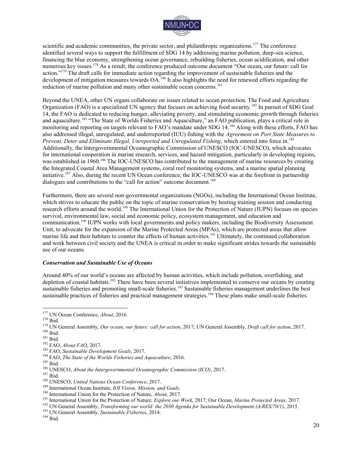

scientific and academic communities, the private sector, and philanthropic organizations.<sup>177</sup> The conference identified several ways to support the fulfillment of SDG 14 by addressing marine pollution, deep-sea science, financing the blue economy, strengthening ocean governance, rebuilding fisheries, ocean acidification, and other numerous key issues.<sup>178</sup> As a result, the conference produced outcome document "Our ocean, our future: call for action."<sup>179</sup> The draft calls for immediate action regarding the improvement of sustainable fisheries and the development of mitigation measures towards OA.<sup>180</sup> It also highlights the need for renewed efforts regarding the reduction of marine pollution and many other sustainable ocean concerns.<sup>181</sup>

Beyond the UNEA, other UN organs collaborate on issues related to ocean protection. The Food and Agriculture Organization (FAO) is a specialized UN agency that focuses on achieving food security.<sup>182</sup> In pursuit of SDG Goal 14, the FAO is dedicated to reducing hunger, alleviating poverty, and stimulating economic growth through fisheries and aquaculture.<sup>183</sup> "The State of Worlds Fisheries and Aquaculture," an FAO publication, plays a critical role in monitoring and reporting on targets relevant to FAO's mandate under SDG 14.<sup>184</sup> Along with these efforts, FAO has also addressed illegal, unregulated, and underreported (IUU) fishing with the *Agreement on Port State Measures to Prevent, Deter and Eliminate Illegal, Unreported and Unregulated Fishing*, which entered into force in.<sup>185</sup> Additionally, the Intergovernmental Oceanographic Commission of UNESCO (IOC-UNESCO), which advocates for international cooperation in marine research, services, and hazard mitigation, particularly in developing regions, was established in 1960.<sup>186</sup> The IOC-UNESCO has contributed to the management of marine resources by creating the Integrated Coastal Area Management systems, coral reef monitoring systems, and a marine spatial planning initiative.<sup>187</sup> Also, during the recent UN Ocean conference, the IOC-UNESCO was at the forefront in partnership dialogues and contributions to the "call for action" outcome document.<sup>188</sup>

Furthermore, there are several non-governmental organizations (NGOs), including the International Ocean Institute, which strives to educate the public on the topic of marine conservation by hosting training session and conducting research efforts around the world.<sup>189</sup> The International Union for the Protection of Nature (IUPN) focuses on species survival, environmental law, social and economic policy, ecosystem management, and education and communication.<sup>190</sup> IUPN works with local governments and policy makers, including the Biodiversity Assessment Unit, to advocate for the expansion of the Marine Protected Areas (MPAs), which are protected areas that allow marine life and their habitats to counter the effects of human activities.<sup>191</sup> Ultimately, the continued collaboration and work between civil society and the UNEA is critical in order to make significant strides towards the sustainable use of our oceans.

#### *Conservation and Sustainable Use of Oceans*

Around 40% of our world's oceans are affected by human activities, which include pollution, overfishing, and depletion of coastal habitats.<sup>192</sup> There have been several initiatives implemented to conserve our oceans by creating sustainable fisheries and promoting small-scale fisheries.<sup>193</sup> Sustainable fisheries management underlines the best sustainable practices of fisheries and practical management strategies.<sup>194</sup> These plans make small-scale fisheries

<sup>183</sup> FAO, *Sustainable Development Goals*, 2017.

 $^{\rm 185}$  Ibid.

- <sup>187</sup> Ibid.
- <sup>188</sup> UNESCO, *United Nations Ocean Conference*, 2017.
- <sup>189</sup> International Ocean Institute, *IOI Vision, Mission, and Goals*.
- <sup>190</sup> International Union for the Protection of Nature, *About*, 2017.
- <sup>191</sup> International Union for the Protection of Nature, *Explore our Work*, 2017; Our Ocean, *Marine Protected Areas*, 2017.

<sup>193</sup> UN General Assembly, *Sustainable Fisheries*, 2014.

 $^{194}$  Ibid.

 $\overline{a}$ <sup>177</sup> UN Ocean Conference, *About*, 2016.

<sup>178</sup> Ibid.

<sup>179</sup> UN General Assembly, *Our ocean, our future: call for action*, 2017; UN General Assembly, *Draft call for action*, 2017.  $180$  Ibid.

 $181$  Ibid.

<sup>182</sup> FAO, *About FAO*, 2017.

<sup>184</sup> FAO, *The State of the Worlds Fisheries and Aquaculture*, 2016.

<sup>186</sup> UNESCO, *About the Intergovernmental Oceanographic Commission (ICO)*, 2017.

<sup>192</sup> UN General Assembly, *Transforming our world: the 2030 Agenda for Sustainable Development (A/RES/70/1)*, 2015.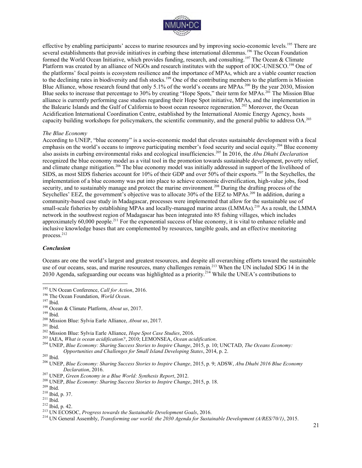

effective by enabling participants' access to marine resources and by improving socio-economic levels.<sup>195</sup> There are several establishments that provide initiatives in curbing these international dilemmas.<sup>196</sup> The Ocean Foundation formed the World Ocean Initiative, which provides funding, research, and consulting.<sup>197</sup> The Ocean & Climate Platform was created by an alliance of NGOs and research institutes with the support of IOC-UNESCO.<sup>198</sup> One of the platforms' focal points is ecosystem resilience and the importance of MPAs, which are a viable counter reaction to the declining rates in biodiversity and fish stocks.<sup>199</sup> One of the contributing members to the platform is Mission Blue Alliance, whose research found that only 5.1% of the world's oceans are MPAs.<sup>200</sup> By the year 2030, Mission Blue seeks to increase that percentage to 30% by creating "Hope Spots," their term for MPAs.<sup>201</sup> The Mission Blue alliance is currently performing case studies regarding their Hope Spot initiative, MPAs, and the implementation in the Balearic Islands and the Gulf of California to boost ocean resource regeneration.<sup>202</sup> Moreover, the Ocean Acidification International Coordination Centre, established by the International Atomic Energy Agency, hosts capacity building workshops for policymakers, the scientific community, and the general public to address OA.<sup>203</sup>

#### *The Blue Economy*

According to UNEP, "blue economy" is a socio-economic model that elevates sustainable development with a focal emphasis on the world's oceans to improve participating member's food security and social equity.<sup>204</sup> Blue economy also assists in curbing environmental risks and ecological insufficiencies.<sup>205</sup> In 2016, the *Abu Dhabi Declaration* recognized the blue economy model as a vital tool in the promotion towards sustainable development, poverty relief, and climate change mitigation.<sup>206</sup> The blue economy model was initially addressed in support of the livelihood of SIDS, as most SIDS fisheries account for 10% of their GDP and over 50% of their exports.<sup>207</sup> In the Seychelles, the implementation of a blue economy was put into place to achieve economic diversification, high-value jobs, food security, and to sustainably manage and protect the marine environment.<sup>208</sup> During the drafting process of the Seychelles' EEZ, the government's objective was to allocate 30% of the EEZ to MPAs.<sup>209</sup> In addition, during a community-based case study in Madagascar, processes were implemented that allow for the sustainable use of small-scale fisheries by establishing MPAs and locally-managed marine areas (LMMAs).<sup>210</sup> As a result, the LMMA network in the southwest region of Madagascar has been integrated into 85 fishing villages, which includes approximately 60,000 people.<sup>211</sup> For the exponential success of blue economy, it is vital to enhance reliable and inclusive knowledge bases that are complemented by resources, tangible goals, and an effective monitoring process.<sup>212</sup>

#### *Conclusion*

Oceans are one the world's largest and greatest resources, and despite all overarching efforts toward the sustainable use of our oceans, seas, and marine resources, many challenges remain.<sup>213</sup> When the UN included SDG 14 in the 2030 Agenda, safeguarding our oceans was highlighted as a priority.<sup>214</sup> While the UNEA's contributions to

 $\overline{a}$ 

 $209$  Ibid.

<sup>195</sup> UN Ocean Conference, *Call for Action*, 2016.

<sup>196</sup> The Ocean Foundation, *World Ocean*.

<sup>197</sup> Ibid.

<sup>198</sup> Ocean & Climate Platform, *About us*, 2017.

<sup>199</sup> Ibid.

<sup>200</sup> Mission Blue: Sylvia Earle Alliance, *About us*, 2017.

 $^{201}$  Ibid.

<sup>202</sup> Mission Blue: Sylvia Earle Alliance, *Hope Spot Case Studies*, 2016.

<sup>203</sup> IAEA, *What is ocean acidification?*, 2010; LEMONSEA, *Ocean acidification*.

<sup>204</sup> UNEP, *Blue Economy: Sharing Success Stories to Inspire Change*, 2015, p. 10; UNCTAD, *The Oceans Economy: Opportunities and Challenges for Small Island Developing States*, 2014, p. 2.

<sup>205</sup> Ibid.

<sup>206</sup> UNEP, *Blue Economy: Sharing Success Stories to Inspire Change*, 2015, p. 9; ADSW, *Abu Dhabi 2016 Blue Economy Declaration*, 2016.

<sup>207</sup> UNEP, *Green Economy in a Blue World: Synthesis Report*, 2012.

<sup>208</sup> UNEP, *Blue Economy: Sharing Success Stories to Inspire Change*, 2015, p. 18.

<sup>210</sup> Ibid, p. 37.

 $211$  Ibid.

<sup>212</sup> Ibid, p. 42.

<sup>213</sup> UN ECOSOC, *Progress towards the Sustainable Development Goals*, 2016.

<sup>214</sup> UN General Assembly, *Transforming our world: the 2030 Agenda for Sustainable Development (A/RES/70/1)*, 2015.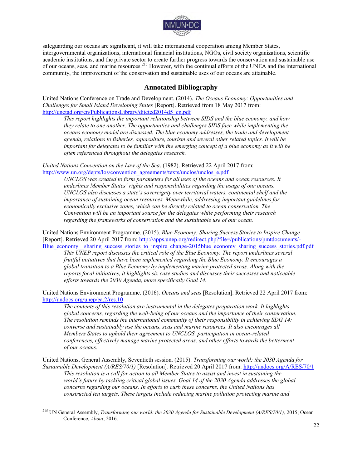

safeguarding our oceans are significant, it will take international cooperation among Member States, intergovernmental organizations, international financial institutions, NGOs, civil society organizations, scientific academic institutions, and the private sector to create further progress towards the conservation and sustainable use of our oceans, seas, and marine resources.<sup>215</sup> However, with the continual efforts of the UNEA and the international community, the improvement of the conservation and sustainable uses of our oceans are attainable.

# **Annotated Bibliography**

United Nations Conference on Trade and Development. (2014). *The Oceans Economy: Opportunities and Challenges for Small Island Developing States* [Report]. Retrieved from 18 May 2017 from: http://unctad.org/en/PublicationsLibrary/ditcted2014d5\_en.pdf

*This report highlights the important relationship between SIDS and the blue economy, and how they relate to one another. The opportunities and challenges SIDS face while implementing the oceans economy model are discussed. The blue economy addresses, the trade and development agenda, relations to fisheries, aquaculture, tourism and several other related topics. It will be important for delegates to be familiar with the emerging concept of a blue economy as it will be often referenced throughout the delegates research.* 

*United Nations Convention on the Law of the Sea*. (1982). Retrieved 22 April 2017 from: [http://www.un.org/depts/los/convention\\_agreements/texts/unclos/unclos\\_e.pdf](http://www.un.org/depts/los/convention_agreements/texts/unclos/unclos_e.pdf)

*UNCLOS was created to form parameters for all uses of the oceans and ocean resources. It underlines Member States' rights and responsibilities regarding the usage of our oceans. UNCLOS also discusses a state's sovereignty over territorial waters, continental shelf and the importance of sustaining ocean resources. Meanwhile, addressing important guidelines for economically exclusive zones, which can be directly related to ocean conservation. The Convention will be an important source for the delegates while performing their research regarding the frameworks of conservation and the sustainable use of our ocean.* 

United Nations Environment Programme. (2015). *Blue Economy: Sharing Success Stories to Inspire Change*  [Report]. Retrieved 20 April 2017 from: [http://apps.unep.org/redirect.php?file=/publications/pmtdocuments/-](http://apps.unep.org/redirect.php?file=/publications/pmtdocuments/-Blue_economy__sharing_success_stories_to_inspire_change-2015blue_economy_sharing_success_stories.pdf.pdf) Blue\_economy\_sharing\_success\_stories\_to\_inspire\_change-2015blue\_economy\_sharing\_success\_stories.pdf.pdf

*This UNEP report discusses the critical role of the Blue Economy. The report underlines several fruitful initiatives that have been implemented regarding the Blue Economy. It encourages a global transition to a Blue Economy by implementing marine protected areas. Along with the reports focal initiatives, it highlights six case studies and discusses their successes and noticeable efforts towards the 2030 Agenda, more specifically Goal 14.* 

United Nations Environment Programme. (2016). *Oceans and seas* [Resolution]. Retrieved 22 April 2017 from: <http://undocs.org/unep/ea.2/res.10>

*The contents of this resolution are instrumental in the delegates preparation work. It highlights global concerns, regarding the well-being of our oceans and the importance of their conservation. The resolution reminds the international community of their responsibility in achieving SDG 14: converse and sustainably use the oceans, seas and marine resources. It also encourages all Members States to uphold their agreement to UNCLOS, participation in ocean-related conferences, effectively manage marine protected areas, and other efforts towards the betterment of our oceans.* 

United Nations, General Assembly, Seventieth session. (2015). *Transforming our world: the 2030 Agenda for Sustainable Development (A/RES/70/1)* [Resolution]*.* Retrieved 20 April 2017 from:<http://undocs.org/A/RES/70/1> *This resolution is a call for action to all Member States to assist and invest in sustaining the world's future by tackling critical global issues. Goal 14 of the 2030 Agenda addresses the global concerns regarding our oceans. In efforts to curb these concerns, the United Nations has constructed ten targets. These targets include reducing marine pollution protecting marine and* 

<sup>215</sup> UN General Assembly, *Transforming our world: the 2030 Agenda for Sustainable Development (A/RES/70/1)*, 2015; Ocean Conference, *About*, 2016.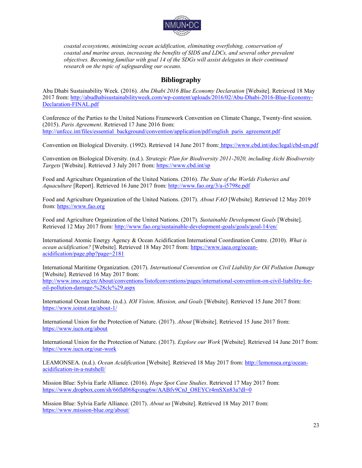

*coastal ecosystems, minimizing ocean acidification, eliminating overfishing, conservation of coastal and marine areas, increasing the benefits of SIDS and LDCs, and several other prevalent objectives. Becoming familiar with goal 14 of the SDGs will assist delegates in their continued research on the topic of safeguarding our oceans.* 

# **Bibliography**

Abu Dhabi Sustainability Week. (2016). *Abu Dhabi 2016 Blue Economy Declaration* [Website]. Retrieved 18 May 2017 from: [http://abudhabisustainabilityweek.com/wp-content/uploads/2016/02/Abu-Dhabi-2016-Blue-Economy-](http://abudhabisustainabilityweek.com/wp-content/uploads/2016/02/Abu-Dhabi-2016-Blue-Economy-Declaration-FINAL.pdf)[Declaration-FINAL.pdf](http://abudhabisustainabilityweek.com/wp-content/uploads/2016/02/Abu-Dhabi-2016-Blue-Economy-Declaration-FINAL.pdf)

Conference of the Parties to the United Nations Framework Convention on Climate Change, Twenty-first session. (2015). *Paris Agreement*. Retrieved 17 June 2016 from: [http://unfccc.int/files/essential\\_background/convention/application/pdf/english\\_paris\\_agreement.pdf](http://unfccc.int/files/essential_background/convention/application/pdf/english_paris_agreement.pdf)

Convention on Biological Diversity. (1992). Retrieved 14 June 2017 from: <https://www.cbd.int/doc/legal/cbd-en.pdf>

Convention on Biological Diversity. (n.d.). *Strategic Plan for Biodiversity 2011-2020, including Aichi Biodiversity Targets* [Website]. Retrieved 3 July 2017 from[: https://www.cbd.int/sp](https://www.cbd.int/sp)

Food and Agriculture Organization of the United Nations. (2016). *The State of the Worlds Fisheries and Aquaculture* [Report]. Retrieved 16 June 2017 from[: http://www.fao.org/3/a-i5798e.pdf](http://www.fao.org/3/a-i5798e.pdf) 

Food and Agriculture Organization of the United Nations. (2017). *About FAO* [Website]. Retrieved 12 May 2019 from[: https://www.fao.org](https://www.fao.org/) 

Food and Agriculture Organization of the United Nations. (2017). *Sustainable Development Goals* [Website]. Retrieved 12 May 2017 from:<http://www.fao.org/sustainable-development-goals/goals/goal-14/en/>

International Atomic Energy Agency & Ocean Acidification International Coordination Centre. (2010). *What is ocean acidification?* [Website]. Retrieved 18 May 2017 from: [https://www.iaea.org/ocean](https://www.iaea.org/ocean-acidification/page.php?page=2181)[acidification/page.php?page=2181](https://www.iaea.org/ocean-acidification/page.php?page=2181) 

International Maritime Organization. (2017). *International Convention on Civil Liability for Oil Pollution Damage* [Website]. Retrieved 16 May 2017 from: [http://www.imo.org/en/About/conventions/listofconventions/pages/international-convention-on-civil-liability-for](http://www.imo.org/en/About/conventions/listofconventions/pages/international-convention-on-civil-liability-for-oil-pollution-damage-%28clc%29.aspx)[oil-pollution-damage-%28clc%29.aspx](http://www.imo.org/en/About/conventions/listofconventions/pages/international-convention-on-civil-liability-for-oil-pollution-damage-%28clc%29.aspx)

International Ocean Institute. (n.d.). *IOI Vision, Mission, and Goals* [Website]. Retrieved 15 June 2017 from: <https://www.ioinst.org/about-1/>

International Union for the Protection of Nature. (2017). *About* [Website]. Retrieved 15 June 2017 from: <https://www.iucn.org/about>

International Union for the Protection of Nature. (2017). *Explore our Work* [Website]. Retrieved 14 June 2017 from: <https://www.iucn.org/our-work>

LEAMONSEA. (n.d.). *Ocean Acidification* [Website]. Retrieved 18 May 2017 from: [http://lemonsea.org/ocean](http://lemonsea.org/ocean-acidification-in-a-nutshell/)[acidification-in-a-nutshell/](http://lemonsea.org/ocean-acidification-in-a-nutshell/) 

Mission Blue: Sylvia Earle Alliance. (2016). *Hope Spot Case Studies*. Retrieved 17 May 2017 from: https://www.dropbox.com/sh/66fld068qveug6w/AABfv9CnJ\_O8EYCr4rnSXn83a?dl=0

Mission Blue: Sylvia Earle Alliance. (2017). *About us* [Website]. Retrieved 18 May 2017 from: [https://www.mission-blue.org/about/](http://www.mission-blue.org/about/)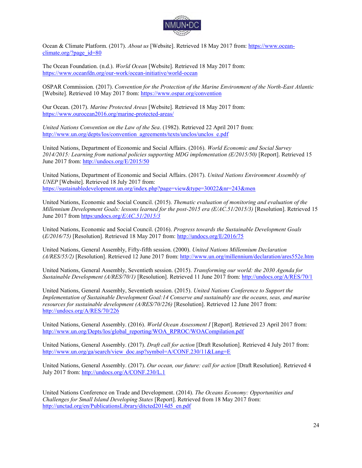

Ocean & Climate Platform. (2017). *About us* [Website]. Retrieved 18 May 2017 from: [https://www.ocean](https://www.ocean-climate.org/?page_id=80)[climate.org/?page\\_id=80](https://www.ocean-climate.org/?page_id=80)

The Ocean Foundation. (n.d.). *World Ocean* [Website]. Retrieved 18 May 2017 from: <https://www.oceanfdn.org/our-work/ocean-initiative/world-ocean>

OSPAR Commission. (2017). *Convention for the Protection of the Marine Environment of the North-East Atlantic*  [Website]. Retrieved 10 May 2017 from:<https://www.ospar.org/convention>

Our Ocean. (2017). *Marine Protected Areas* [Website]. Retrieved 18 May 2017 from: [https://www.ourocean2016.org/marine-protected-areas/](http://ourocean2016.org/marine-protected-areas/) 

*United Nations Convention on the Law of the Sea*. (1982). Retrieved 22 April 2017 from: [http://www.un.org/depts/los/convention\\_agreements/texts/unclos/unclos\\_e.pdf](http://www.un.org/depts/los/convention_agreements/texts/unclos/unclos_e.pdf)

United Nations, Department of Economic and Social Affairs. (2016). *World Economic and Social Survey*  2014/2015: Learning from national policies supporting MDG implementation (E/2015/50) [Report]. Retrieved 15 June 2017 from:<http://undocs.org/E/2015/50>

United Nations, Department of Economic and Social Affairs. (2017). *United Nations Environment Assembly of UNEP* [Website]. Retrieved 18 July 2017 from: <https://sustainabledevelopment.un.org/index.php?page=view&type=30022&nr=243&men>

United Nations, Economic and Social Council. (2015). *Thematic evaluation of monitoring and evaluation of the Millennium Development Goals: lessons learned for the post-2015 era (E/AC.51/2015/3)* [Resolution]. Retrieved 15 June 2017 from [https:undocs.org/](https://undocs.org/E/AC.51/2015/3)*E/AC.51/2015/3*

United Nations, Economic and Social Council. (2016). *Progress towards the Sustainable Development Goals* (*E/2016/75)* [Resolution]. Retrieved 18 May 2017 from[: http://undocs.org/E/2016/75](http://undocs.org/E/2016/75)

United Nations, General Assembly, Fifty-fifth session. (2000). *United Nations Millennium Declaration (A/RES/55/2)* [Resolution]. Retrieved 12 June 2017 from[: http://www.un.org/millennium/declaration/ares552e.htm](http://www.un.org/millennium/declaration/ares552e.htm)

United Nations, General Assembly, Seventieth session. (2015). *Transforming our world: the 2030 Agenda for Sustainable Development (A/RES/70/1)* [Resolution]. Retrieved 11 June 2017 from:<http://undocs.org/A/RES/70/1>

United Nations, General Assembly, Seventieth session. (2015). *United Nations Conference to Support the Implementation of Sustainable Development Goal:14 Conserve and sustainably use the oceans, seas, and marine resources for sustainable development (A/RES/70/226)* [Resolution]. Retrieved 12 June 2017 from: <http://undocs.org/A/RES/70/226>

United Nations, General Assembly. (2016). *World Ocean Assessment I* [Report]. Retrieved 23 April 2017 from: [http://www.un.org/Depts/los/global\\_reporting/WOA\\_RPROC/WOACompilation.pdf](http://www.un.org/Depts/los/global_reporting/WOA_RPROC/WOACompilation.pdf) 

United Nations, General Assembly. (2017). *Draft call for action* [Draft Resolution]. Retrieved 4 July 2017 from: [http://www.un.org/ga/search/view\\_doc.asp?symbol=A/CONF.230/11&Lang=E](http://www.un.org/ga/search/view_doc.asp?symbol=A/CONF.230/11&Lang=E)

United Nations, General Assembly. (2017). *Our ocean, our future: call for action* [Draft Resolution]. Retrieved 4 July 2017 from:<http://undocs.org/A/CONF.230/L.1>

United Nations Conference on Trade and Development. (2014). *The Oceans Economy: Opportunities and Challenges for Small Island Developing States* [Report]. Retrieved from 18 May 2017 from: [http://unctad.org/en/PublicationsLibrary/ditcted2014d5\\_en.pdf](http://unctad.org/en/PublicationsLibrary/ditcted2014d5_en.pdf)